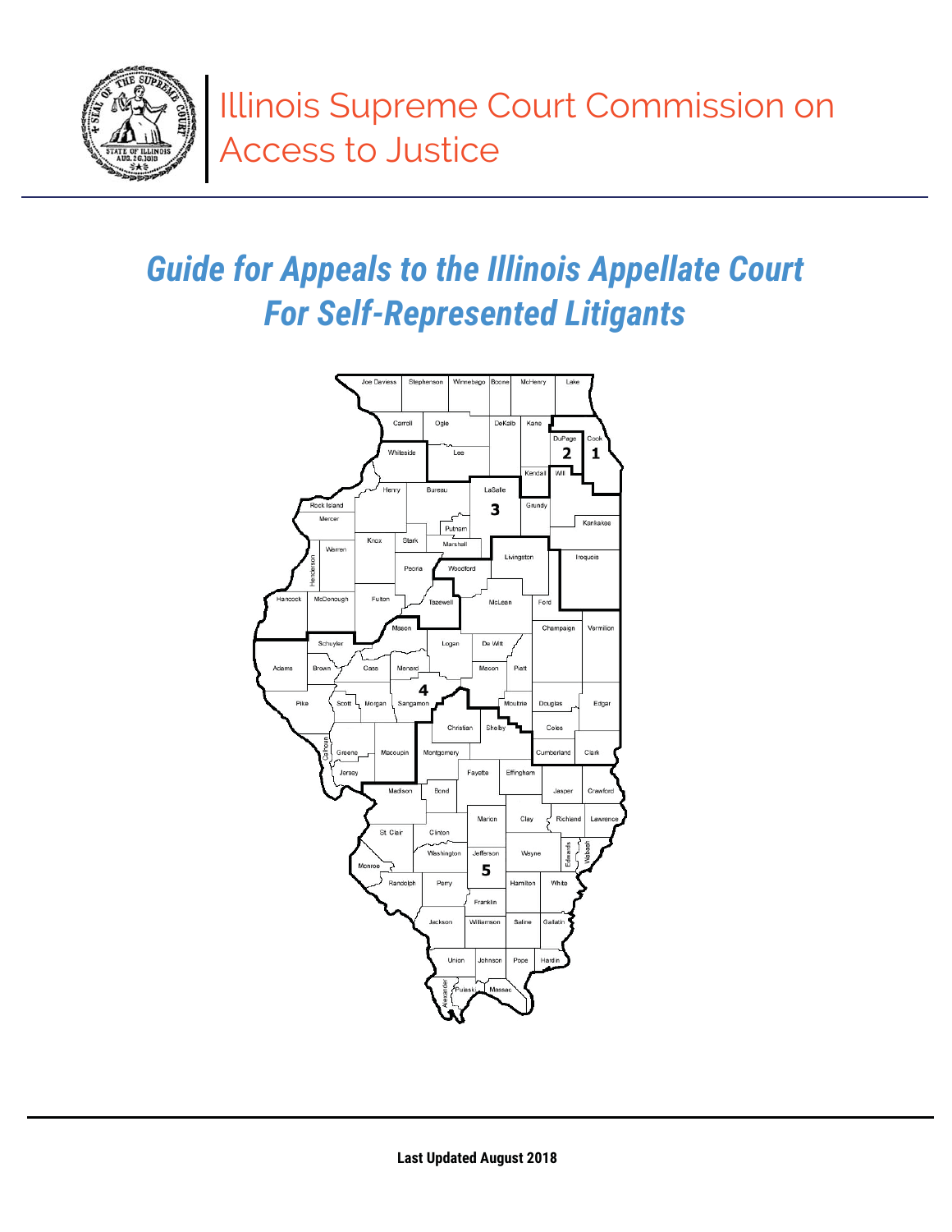

# **Guide for Appeals to the Illinois Appellate Court For Self-Represented Litigants**

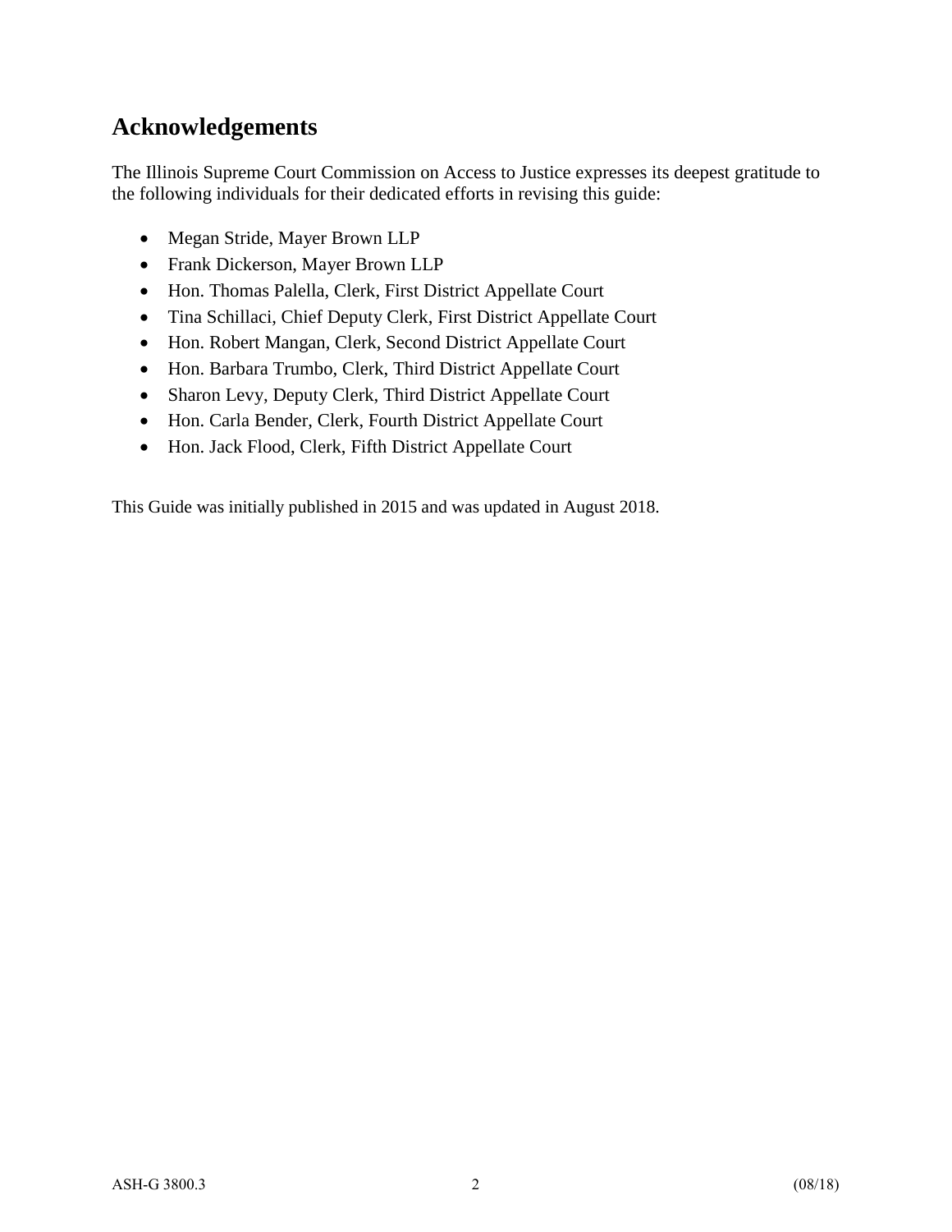### **Acknowledgements**

The Illinois Supreme Court Commission on Access to Justice expresses its deepest gratitude to the following individuals for their dedicated efforts in revising this guide:

- Megan Stride, Mayer Brown LLP
- Frank Dickerson, Mayer Brown LLP
- Hon. Thomas Palella, Clerk, First District Appellate Court
- Tina Schillaci, Chief Deputy Clerk, First District Appellate Court
- Hon. Robert Mangan, Clerk, Second District Appellate Court
- Hon. Barbara Trumbo, Clerk, Third District Appellate Court
- Sharon Levy, Deputy Clerk, Third District Appellate Court
- Hon. Carla Bender, Clerk, Fourth District Appellate Court
- Hon. Jack Flood, Clerk, Fifth District Appellate Court

This Guide was initially published in 2015 and was updated in August 2018.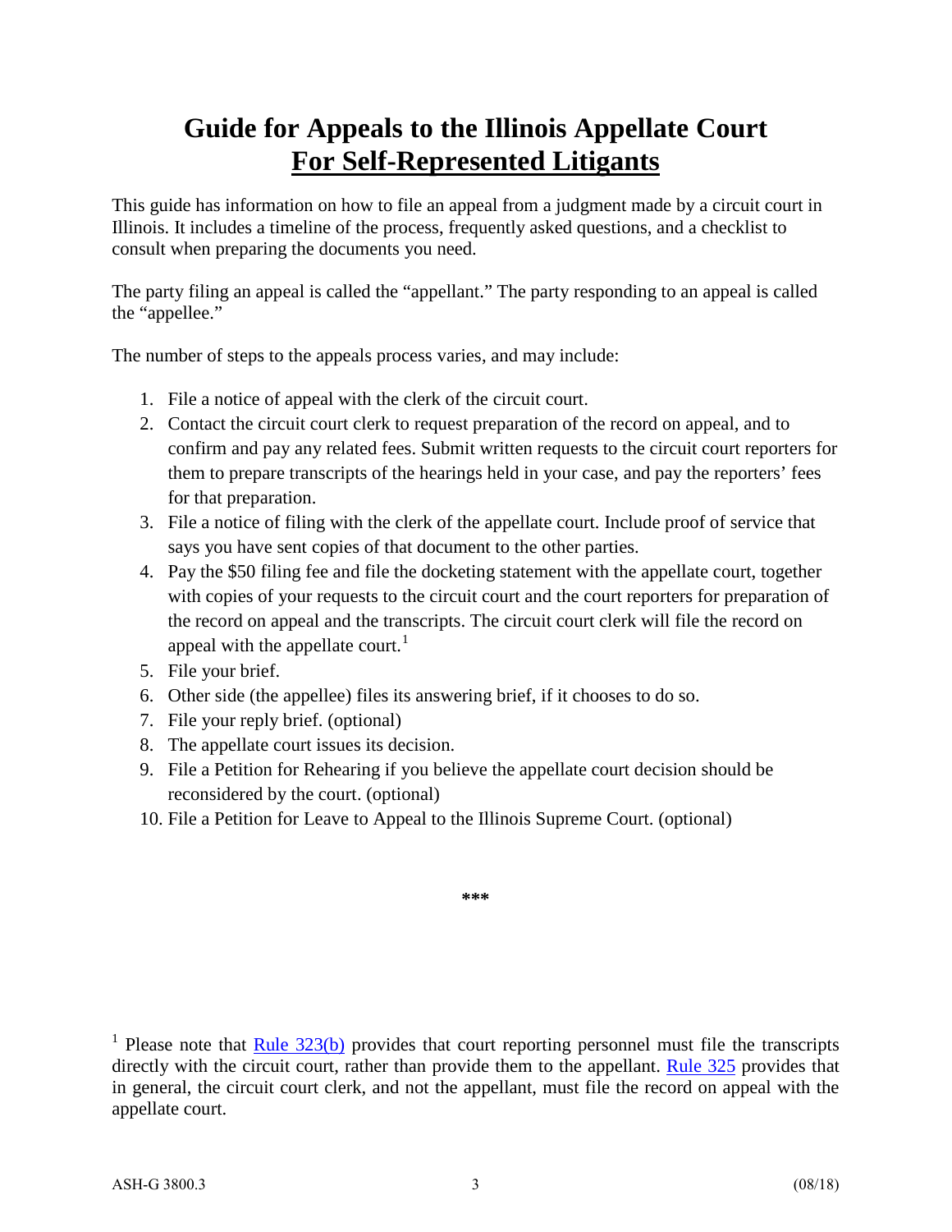# **Guide for Appeals to the Illinois Appellate Court For Self-Represented Litigants**

This guide has information on how to file an appeal from a judgment made by a circuit court in Illinois. It includes a timeline of the process, frequently asked questions, and a checklist to consult when preparing the documents you need.

The party filing an appeal is called the "appellant." The party responding to an appeal is called the "appellee."

The number of steps to the appeals process varies, and may include:

- 1. File a notice of appeal with the clerk of the circuit court.
- 2. Contact the circuit court clerk to request preparation of the record on appeal, and to confirm and pay any related fees. Submit written requests to the circuit court reporters for them to prepare transcripts of the hearings held in your case, and pay the reporters' fees for that preparation.
- 3. File a notice of filing with the clerk of the appellate court. Include proof of service that says you have sent copies of that document to the other parties.
- 4. Pay the \$50 filing fee and file the docketing statement with the appellate court, together with copies of your requests to the circuit court and the court reporters for preparation of the record on appeal and the transcripts. The circuit court clerk will file the record on appeal with the appellate court.<sup>[1](#page-2-0)</sup>
- 5. File your brief.
- 6. Other side (the appellee) files its answering brief, if it chooses to do so.
- 7. File your reply brief. (optional)
- 8. The appellate court issues its decision.
- 9. File a Petition for Rehearing if you believe the appellate court decision should be reconsidered by the court. (optional)
- 10. File a Petition for Leave to Appeal to the Illinois Supreme Court. (optional)

**\*\*\*** 

<span id="page-2-0"></span><sup>1</sup> Please note that Rule  $323(b)$  provides that court reporting personnel must file the transcripts directly with the circuit court, rather than provide them to the appellant. [Rule 325](http://www.illinoiscourts.gov/SupremeCourt/Rules/Art_III/ArtIII.htm%23325) provides that in general, the circuit court clerk, and not the appellant, must file the record on appeal with the appellate court.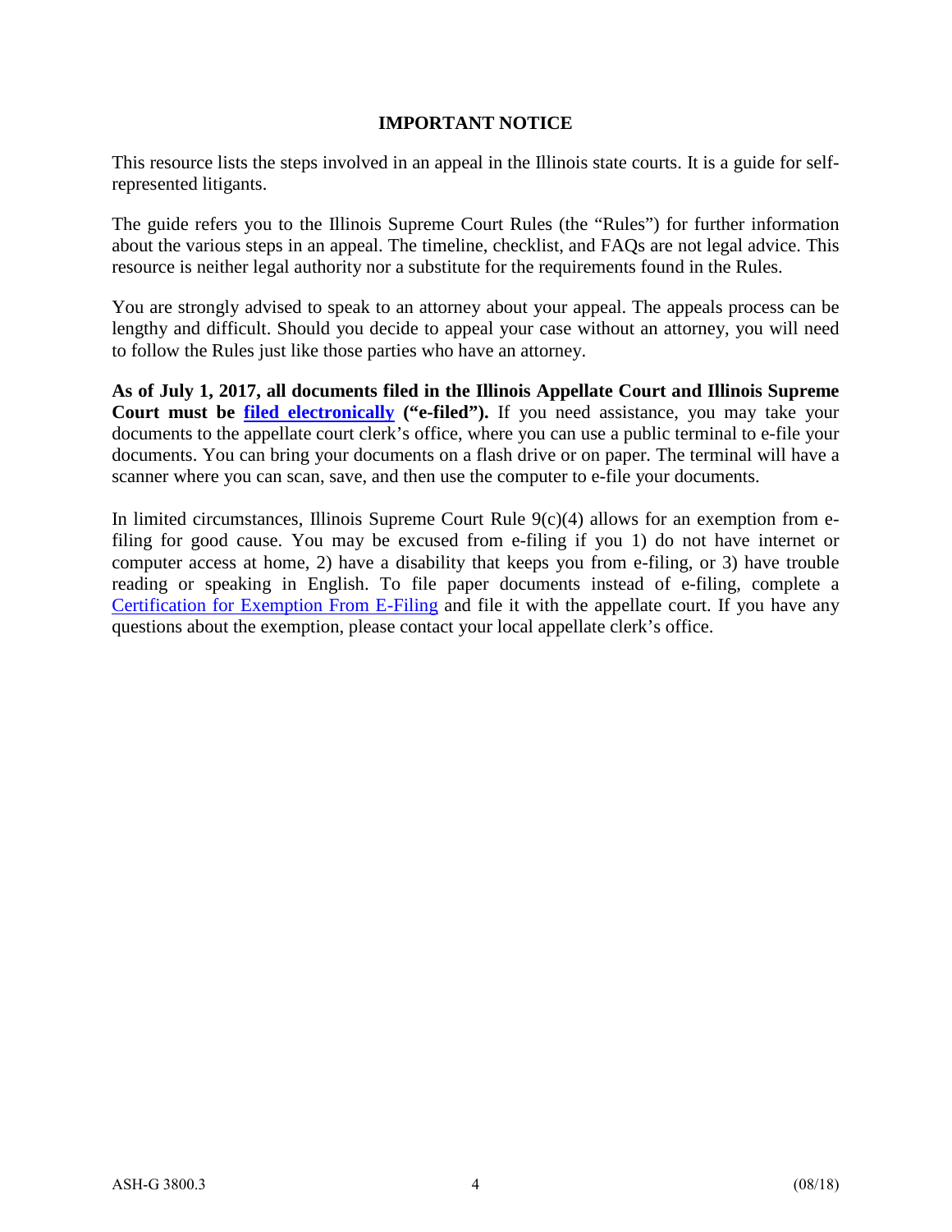#### **IMPORTANT NOTICE**

This resource lists the steps involved in an appeal in the Illinois state courts. It is a guide for selfrepresented litigants.

The guide refers you to the Illinois Supreme Court Rules (the "Rules") for further information about the various steps in an appeal. The timeline, checklist, and FAQs are not legal advice. This resource is neither legal authority nor a substitute for the requirements found in the Rules.

You are strongly advised to speak to an attorney about your appeal. The appeals process can be lengthy and difficult. Should you decide to appeal your case without an attorney, you will need to follow the Rules just like those parties who have an attorney.

**As of July 1, 2017, all documents filed in the Illinois Appellate Court and Illinois Supreme Court must be [filed electronically](http://efile.illinoiscourts.gov/index.htm) ("e-filed").** If you need assistance, you may take your documents to the appellate court clerk's office, where you can use a public terminal to e-file your documents. You can bring your documents on a flash drive or on paper. The terminal will have a scanner where you can scan, save, and then use the computer to e-file your documents.

In limited circumstances, Illinois Supreme Court Rule  $9(c)(4)$  allows for an exemption from efiling for good cause. You may be excused from e-filing if you 1) do not have internet or computer access at home, 2) have a disability that keeps you from e-filing, or 3) have trouble reading or speaking in English. To file paper documents instead of e-filing, complete a [Certification for Exemption From E-Filing](http://www.illinoiscourts.gov/Forms/approved/appellate/appellate.asp) and file it with the appellate court. If you have any questions about the exemption, please contact your local appellate clerk's office.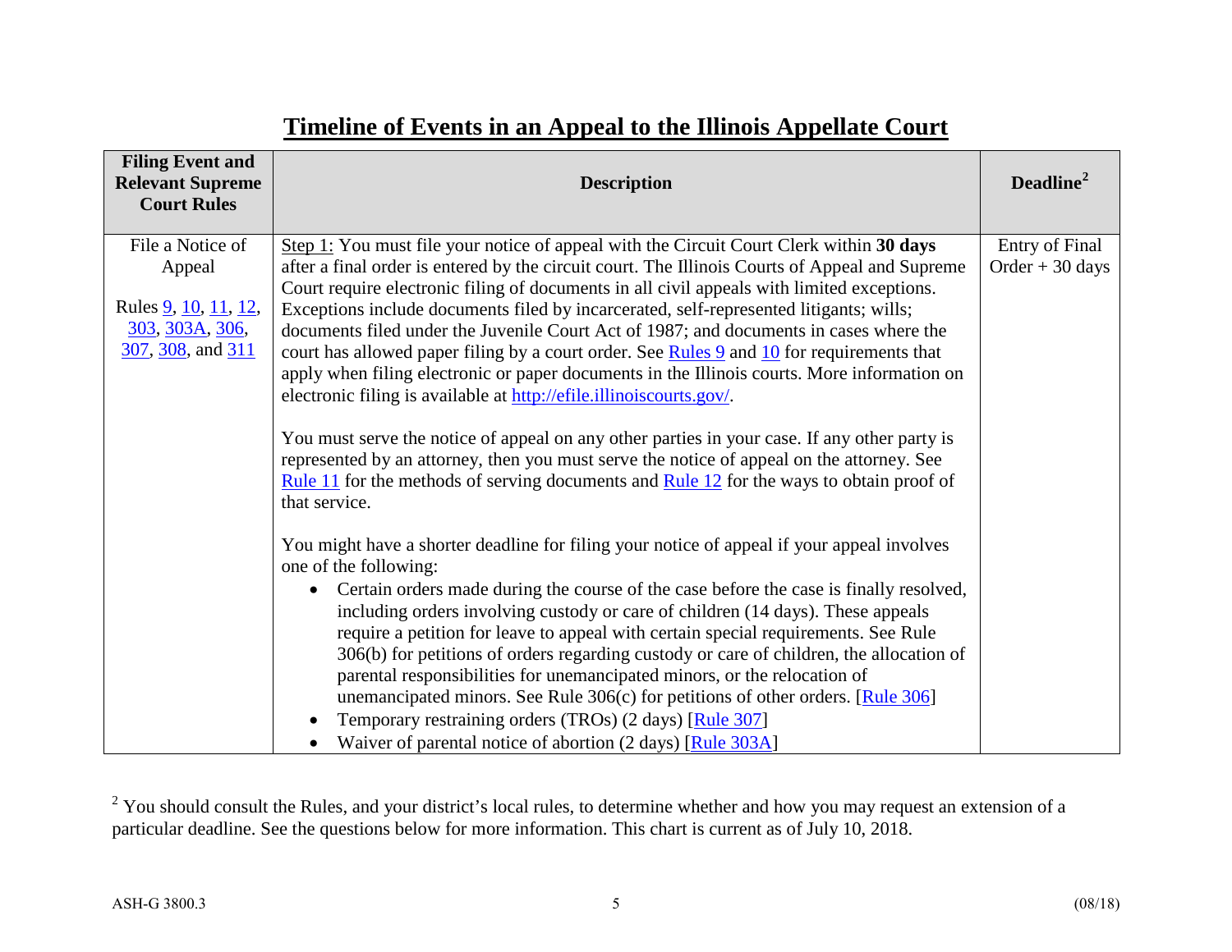| <b>Filing Event and</b><br><b>Relevant Supreme</b><br><b>Court Rules</b>                           | <b>Description</b>                                                                                                                                                                                                                                                                                                                                                                                                                                                                                                                                                                                                                                                                                                                                                                                                                                                                                                                                                                                                                                                                                                                                                                                                                                                                                                                                                                                                                                                                                                                                                                                                                                                                                                                                                                                  | Deadline <sup>2</sup>                  |
|----------------------------------------------------------------------------------------------------|-----------------------------------------------------------------------------------------------------------------------------------------------------------------------------------------------------------------------------------------------------------------------------------------------------------------------------------------------------------------------------------------------------------------------------------------------------------------------------------------------------------------------------------------------------------------------------------------------------------------------------------------------------------------------------------------------------------------------------------------------------------------------------------------------------------------------------------------------------------------------------------------------------------------------------------------------------------------------------------------------------------------------------------------------------------------------------------------------------------------------------------------------------------------------------------------------------------------------------------------------------------------------------------------------------------------------------------------------------------------------------------------------------------------------------------------------------------------------------------------------------------------------------------------------------------------------------------------------------------------------------------------------------------------------------------------------------------------------------------------------------------------------------------------------------|----------------------------------------|
| File a Notice of<br>Appeal<br>Rules <u>9, 10, 11, 12</u> ,<br>303, 303A, 306,<br>307, 308, and 311 | Step 1: You must file your notice of appeal with the Circuit Court Clerk within 30 days<br>after a final order is entered by the circuit court. The Illinois Courts of Appeal and Supreme<br>Court require electronic filing of documents in all civil appeals with limited exceptions.<br>Exceptions include documents filed by incarcerated, self-represented litigants; wills;<br>documents filed under the Juvenile Court Act of 1987; and documents in cases where the<br>court has allowed paper filing by a court order. See Rules 9 and 10 for requirements that<br>apply when filing electronic or paper documents in the Illinois courts. More information on<br>electronic filing is available at http://efile.illinoiscourts.gov/.<br>You must serve the notice of appeal on any other parties in your case. If any other party is<br>represented by an attorney, then you must serve the notice of appeal on the attorney. See<br>Rule 11 for the methods of serving documents and Rule $12$ for the ways to obtain proof of<br>that service.<br>You might have a shorter deadline for filing your notice of appeal if your appeal involves<br>one of the following:<br>Certain orders made during the course of the case before the case is finally resolved,<br>$\bullet$<br>including orders involving custody or care of children (14 days). These appeals<br>require a petition for leave to appeal with certain special requirements. See Rule<br>306(b) for petitions of orders regarding custody or care of children, the allocation of<br>parental responsibilities for unemancipated minors, or the relocation of<br>unemancipated minors. See Rule 306(c) for petitions of other orders. [Rule 306]<br>Temporary restraining orders (TROs) (2 days) [Rule 307]<br>$\bullet$ | Entry of Final<br>$Order + 30 \, days$ |
|                                                                                                    | Waiver of parental notice of abortion (2 days) [Rule 303A]                                                                                                                                                                                                                                                                                                                                                                                                                                                                                                                                                                                                                                                                                                                                                                                                                                                                                                                                                                                                                                                                                                                                                                                                                                                                                                                                                                                                                                                                                                                                                                                                                                                                                                                                          |                                        |

# <span id="page-4-0"></span>**Timeline of Events in an Appeal to the Illinois Appellate Court**

 $2$  You should consult the Rules, and your district's local rules, to determine whether and how you may request an extension of a particular deadline. See the questions below for more information. This chart is current as of July 10, 2018.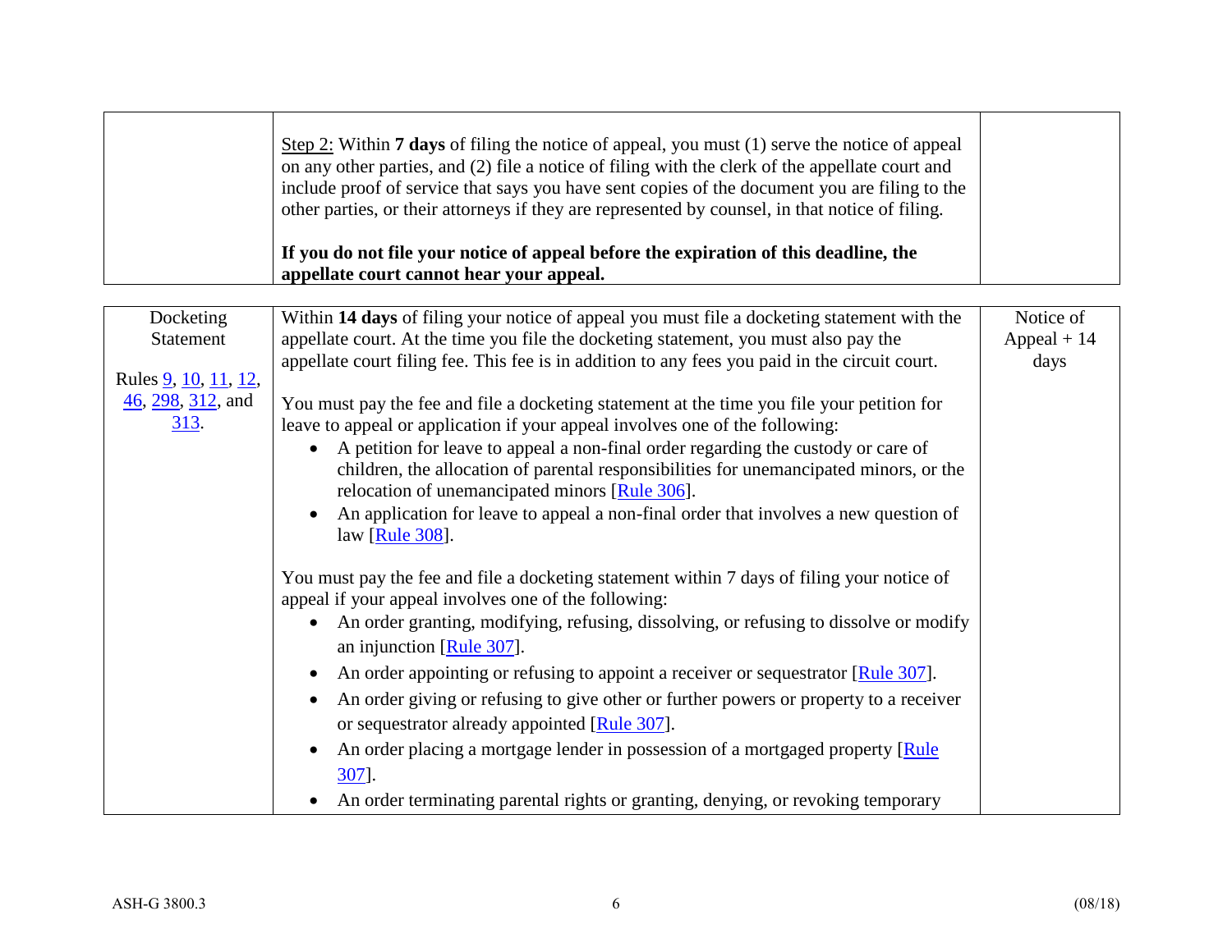|                                                                                                                   | Step 2: Within <b>7 days</b> of filing the notice of appeal, you must $(1)$ serve the notice of appeal<br>on any other parties, and (2) file a notice of filing with the clerk of the appellate court and<br>include proof of service that says you have sent copies of the document you are filing to the<br>other parties, or their attorneys if they are represented by counsel, in that notice of filing.<br>If you do not file your notice of appeal before the expiration of this deadline, the<br>appellate court cannot hear your appeal.                                                                                                                                                                                                                                                                                                                                                                                                                                                                                                                                                                                                                                                                                                                                                   |                                   |
|-------------------------------------------------------------------------------------------------------------------|-----------------------------------------------------------------------------------------------------------------------------------------------------------------------------------------------------------------------------------------------------------------------------------------------------------------------------------------------------------------------------------------------------------------------------------------------------------------------------------------------------------------------------------------------------------------------------------------------------------------------------------------------------------------------------------------------------------------------------------------------------------------------------------------------------------------------------------------------------------------------------------------------------------------------------------------------------------------------------------------------------------------------------------------------------------------------------------------------------------------------------------------------------------------------------------------------------------------------------------------------------------------------------------------------------|-----------------------------------|
| Docketing<br>Statement<br>Rules <u>9, 10, 11, 12</u> ,<br>$\frac{46}{298}$ , $\frac{312}{2}$ , and<br><u>313.</u> | Within 14 days of filing your notice of appeal you must file a docketing statement with the<br>appellate court. At the time you file the docketing statement, you must also pay the<br>appellate court filing fee. This fee is in addition to any fees you paid in the circuit court.<br>You must pay the fee and file a docketing statement at the time you file your petition for<br>leave to appeal or application if your appeal involves one of the following:<br>A petition for leave to appeal a non-final order regarding the custody or care of<br>$\bullet$<br>children, the allocation of parental responsibilities for unemancipated minors, or the<br>relocation of unemancipated minors [Rule 306].<br>An application for leave to appeal a non-final order that involves a new question of<br>law [Rule 308].<br>You must pay the fee and file a docketing statement within 7 days of filing your notice of<br>appeal if your appeal involves one of the following:<br>An order granting, modifying, refusing, dissolving, or refusing to dissolve or modify<br>an injunction [Rule 307].<br>An order appointing or refusing to appoint a receiver or sequestrator [Rule 307].<br>$\bullet$<br>An order giving or refusing to give other or further powers or property to a receiver | Notice of<br>Appeal $+14$<br>days |
|                                                                                                                   | or sequestrator already appointed [Rule 307].<br>An order placing a mortgage lender in possession of a mortgaged property [Rule]<br>$\bullet$<br>307].<br>An order terminating parental rights or granting, denying, or revoking temporary                                                                                                                                                                                                                                                                                                                                                                                                                                                                                                                                                                                                                                                                                                                                                                                                                                                                                                                                                                                                                                                          |                                   |

Г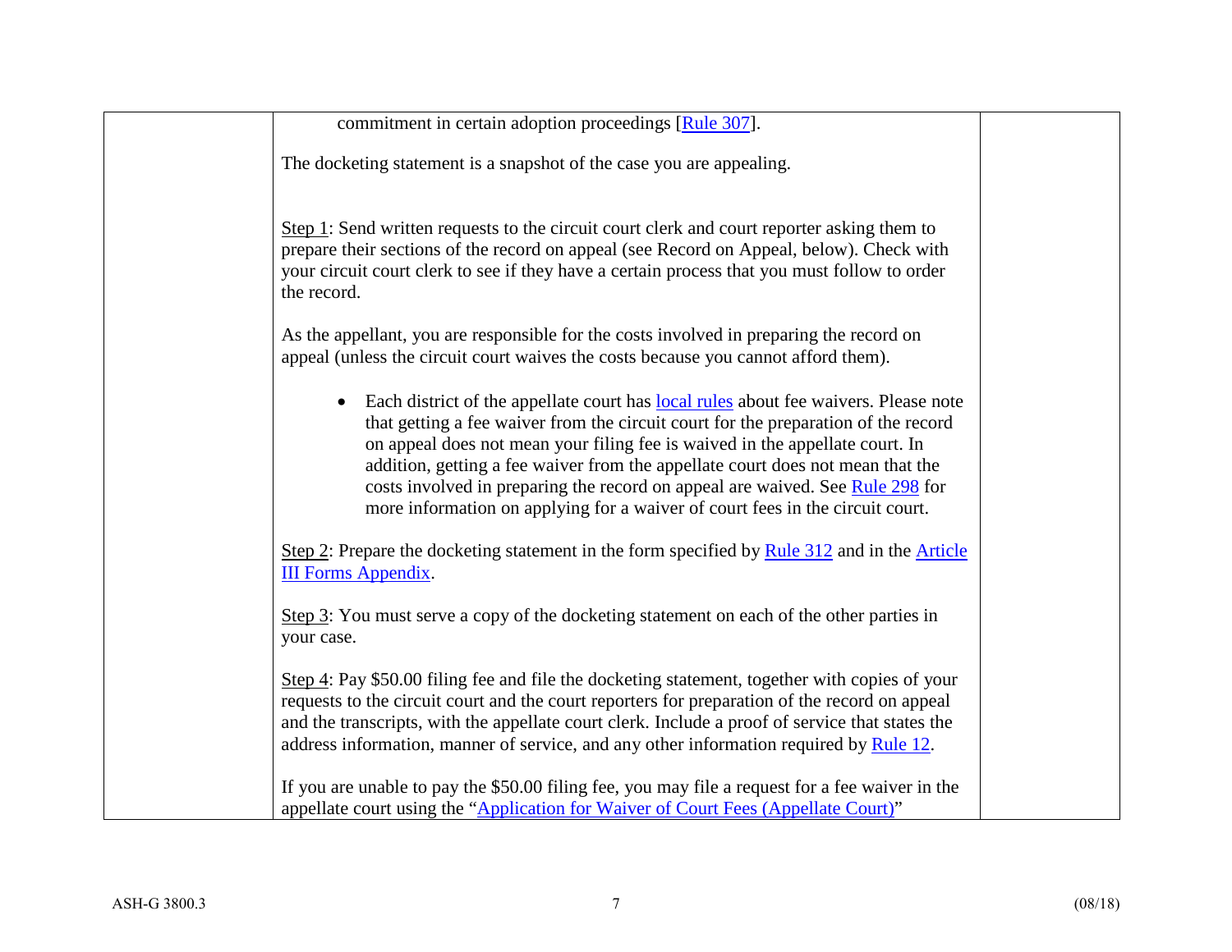| commitment in certain adoption proceedings [Rule 307].                                                                                                                                                                                                                                                                                                                                                                                                                                                        |  |
|---------------------------------------------------------------------------------------------------------------------------------------------------------------------------------------------------------------------------------------------------------------------------------------------------------------------------------------------------------------------------------------------------------------------------------------------------------------------------------------------------------------|--|
| The docketing statement is a snapshot of the case you are appealing.                                                                                                                                                                                                                                                                                                                                                                                                                                          |  |
| Step 1: Send written requests to the circuit court clerk and court reporter asking them to<br>prepare their sections of the record on appeal (see Record on Appeal, below). Check with<br>your circuit court clerk to see if they have a certain process that you must follow to order<br>the record.                                                                                                                                                                                                         |  |
| As the appellant, you are responsible for the costs involved in preparing the record on<br>appeal (unless the circuit court waives the costs because you cannot afford them).                                                                                                                                                                                                                                                                                                                                 |  |
| Each district of the appellate court has local rules about fee waivers. Please note<br>that getting a fee waiver from the circuit court for the preparation of the record<br>on appeal does not mean your filing fee is waived in the appellate court. In<br>addition, getting a fee waiver from the appellate court does not mean that the<br>costs involved in preparing the record on appeal are waived. See Rule 298 for<br>more information on applying for a waiver of court fees in the circuit court. |  |
| Step 2: Prepare the docketing statement in the form specified by Rule $312$ and in the Article<br><b>III Forms Appendix.</b>                                                                                                                                                                                                                                                                                                                                                                                  |  |
| Step 3: You must serve a copy of the docketing statement on each of the other parties in<br>your case.                                                                                                                                                                                                                                                                                                                                                                                                        |  |
| Step 4: Pay \$50.00 filing fee and file the docketing statement, together with copies of your<br>requests to the circuit court and the court reporters for preparation of the record on appeal<br>and the transcripts, with the appellate court clerk. Include a proof of service that states the<br>address information, manner of service, and any other information required by Rule 12.                                                                                                                   |  |
| If you are unable to pay the \$50.00 filing fee, you may file a request for a fee waiver in the<br>appellate court using the "Application for Waiver of Court Fees (Appellate Court)"                                                                                                                                                                                                                                                                                                                         |  |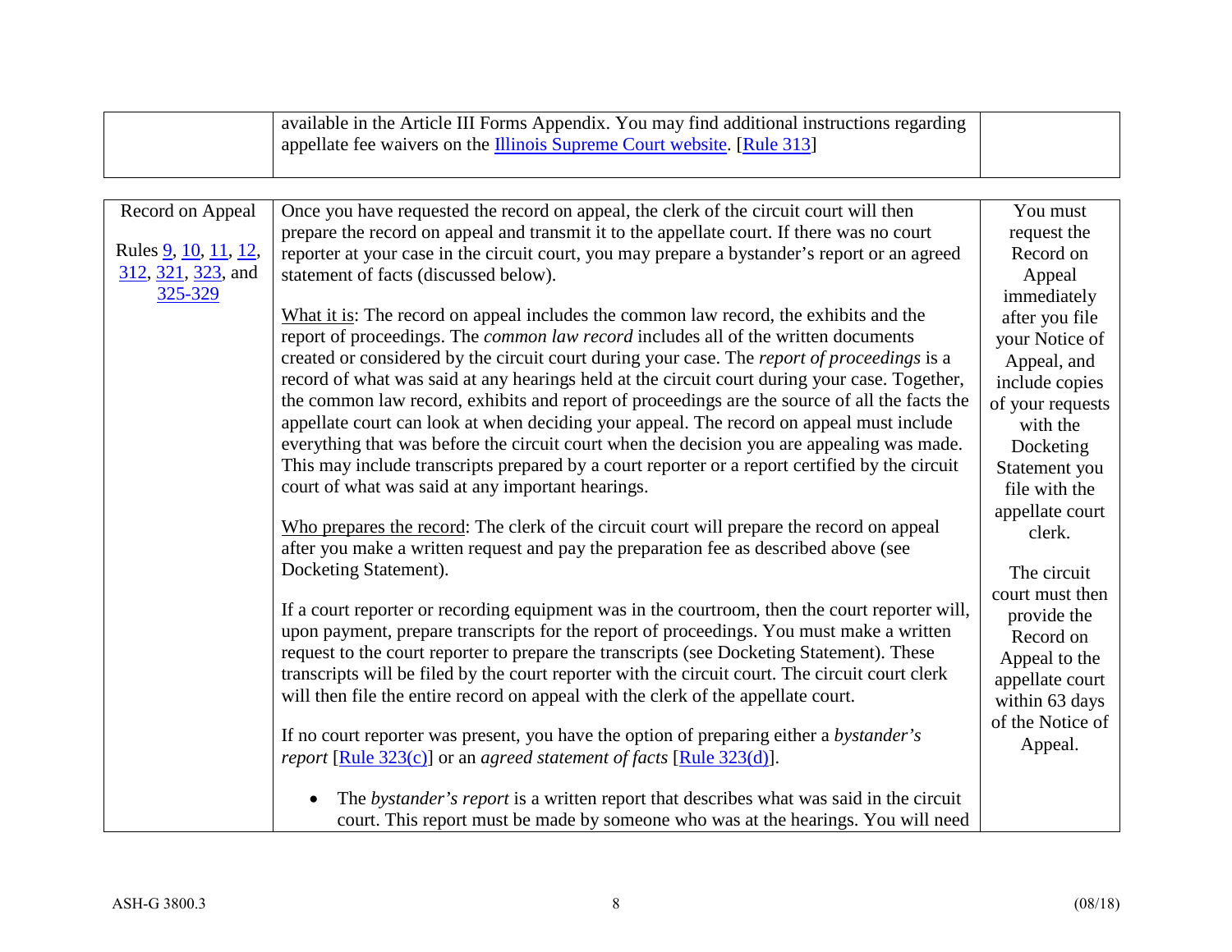|                                 | available in the Article III Forms Appendix. You may find additional instructions regarding<br>appellate fee waivers on the <b>Illinois Supreme Court website</b> . [Rule 313] |                                  |
|---------------------------------|--------------------------------------------------------------------------------------------------------------------------------------------------------------------------------|----------------------------------|
|                                 |                                                                                                                                                                                |                                  |
|                                 |                                                                                                                                                                                |                                  |
| Record on Appeal                | Once you have requested the record on appeal, the clerk of the circuit court will then                                                                                         | You must                         |
|                                 | prepare the record on appeal and transmit it to the appellate court. If there was no court                                                                                     | request the                      |
| Rules 9, 10, 11, 12,            | reporter at your case in the circuit court, you may prepare a bystander's report or an agreed                                                                                  | Record on                        |
| $312, 321, 323,$ and<br>325-329 | statement of facts (discussed below).                                                                                                                                          | Appeal                           |
|                                 | What it is: The record on appeal includes the common law record, the exhibits and the                                                                                          | immediately                      |
|                                 | report of proceedings. The <i>common law record</i> includes all of the written documents                                                                                      | after you file<br>your Notice of |
|                                 | created or considered by the circuit court during your case. The report of proceedings is a                                                                                    | Appeal, and                      |
|                                 | record of what was said at any hearings held at the circuit court during your case. Together,                                                                                  | include copies                   |
|                                 | the common law record, exhibits and report of proceedings are the source of all the facts the                                                                                  | of your requests                 |
|                                 | appellate court can look at when deciding your appeal. The record on appeal must include                                                                                       | with the                         |
|                                 | everything that was before the circuit court when the decision you are appealing was made.                                                                                     | Docketing                        |
|                                 | This may include transcripts prepared by a court reporter or a report certified by the circuit                                                                                 | Statement you                    |
|                                 | court of what was said at any important hearings.                                                                                                                              | file with the                    |
|                                 | Who prepares the record: The clerk of the circuit court will prepare the record on appeal                                                                                      | appellate court                  |
|                                 | after you make a written request and pay the preparation fee as described above (see                                                                                           | clerk.                           |
|                                 | Docketing Statement).                                                                                                                                                          | The circuit                      |
|                                 |                                                                                                                                                                                | court must then                  |
|                                 | If a court reporter or recording equipment was in the courtroom, then the court reporter will,                                                                                 | provide the                      |
|                                 | upon payment, prepare transcripts for the report of proceedings. You must make a written                                                                                       | Record on                        |
|                                 | request to the court reporter to prepare the transcripts (see Docketing Statement). These                                                                                      | Appeal to the                    |
|                                 | transcripts will be filed by the court reporter with the circuit court. The circuit court clerk                                                                                | appellate court                  |
|                                 | will then file the entire record on appeal with the clerk of the appellate court.                                                                                              | within 63 days                   |
|                                 | If no court reporter was present, you have the option of preparing either a bystander's                                                                                        | of the Notice of                 |
|                                 | report [Rule 323(c)] or an agreed statement of facts [Rule 323(d)].                                                                                                            | Appeal.                          |
|                                 |                                                                                                                                                                                |                                  |
|                                 | The bystander's report is a written report that describes what was said in the circuit                                                                                         |                                  |
|                                 | court. This report must be made by someone who was at the hearings. You will need                                                                                              |                                  |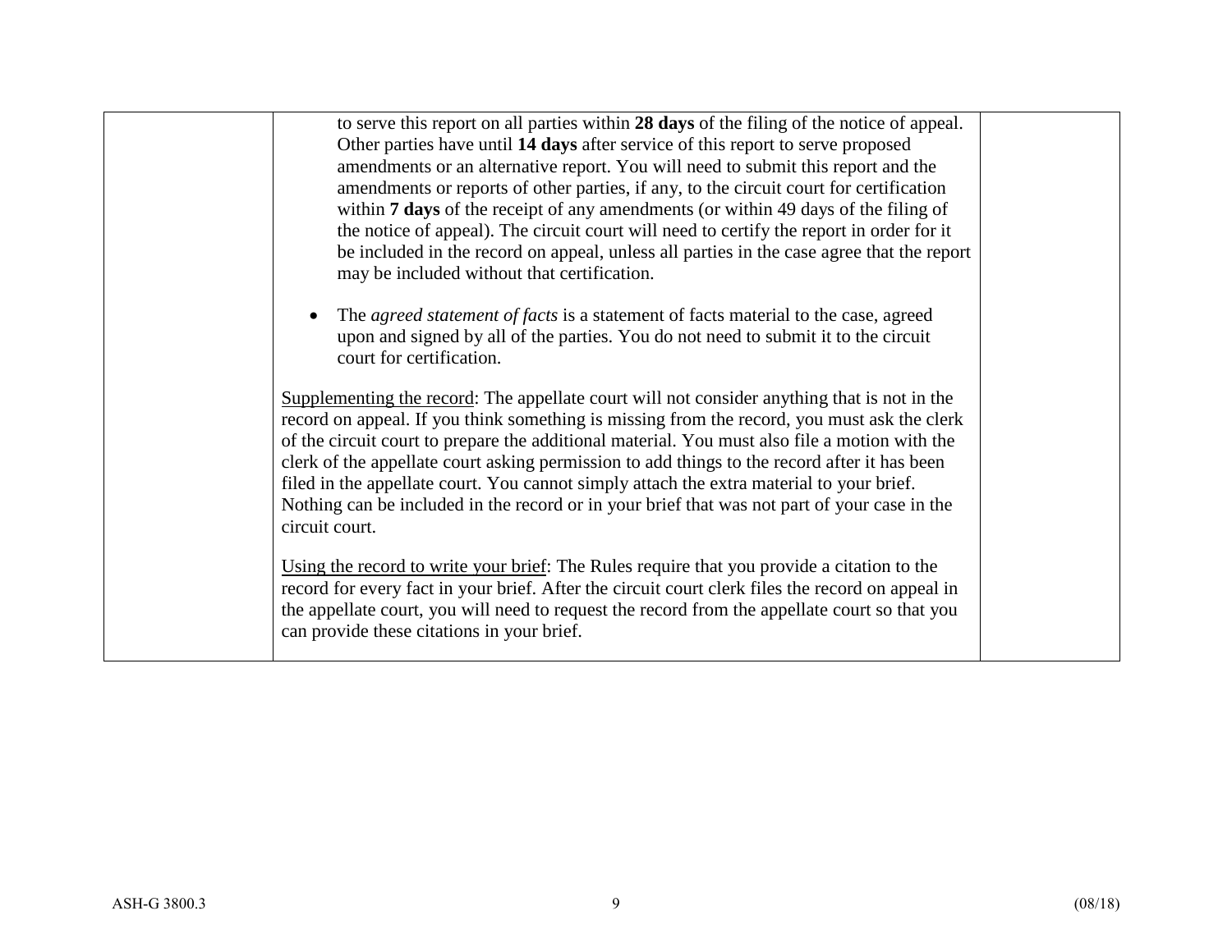| to serve this report on all parties within 28 days of the filing of the notice of appeal.              |  |
|--------------------------------------------------------------------------------------------------------|--|
| Other parties have until 14 days after service of this report to serve proposed                        |  |
| amendments or an alternative report. You will need to submit this report and the                       |  |
| amendments or reports of other parties, if any, to the circuit court for certification                 |  |
| within <b>7 days</b> of the receipt of any amendments (or within 49 days of the filing of              |  |
| the notice of appeal). The circuit court will need to certify the report in order for it               |  |
| be included in the record on appeal, unless all parties in the case agree that the report              |  |
|                                                                                                        |  |
| may be included without that certification.                                                            |  |
|                                                                                                        |  |
| The <i>agreed statement of facts</i> is a statement of facts material to the case, agreed<br>$\bullet$ |  |
| upon and signed by all of the parties. You do not need to submit it to the circuit                     |  |
| court for certification.                                                                               |  |
|                                                                                                        |  |
| Supplementing the record: The appellate court will not consider anything that is not in the            |  |
| record on appeal. If you think something is missing from the record, you must ask the clerk            |  |
| of the circuit court to prepare the additional material. You must also file a motion with the          |  |
| clerk of the appellate court asking permission to add things to the record after it has been           |  |
| filed in the appellate court. You cannot simply attach the extra material to your brief.               |  |
| Nothing can be included in the record or in your brief that was not part of your case in the           |  |
| circuit court.                                                                                         |  |
|                                                                                                        |  |
| Using the record to write your brief: The Rules require that you provide a citation to the             |  |
| record for every fact in your brief. After the circuit court clerk files the record on appeal in       |  |
|                                                                                                        |  |
| the appellate court, you will need to request the record from the appellate court so that you          |  |
| can provide these citations in your brief.                                                             |  |
|                                                                                                        |  |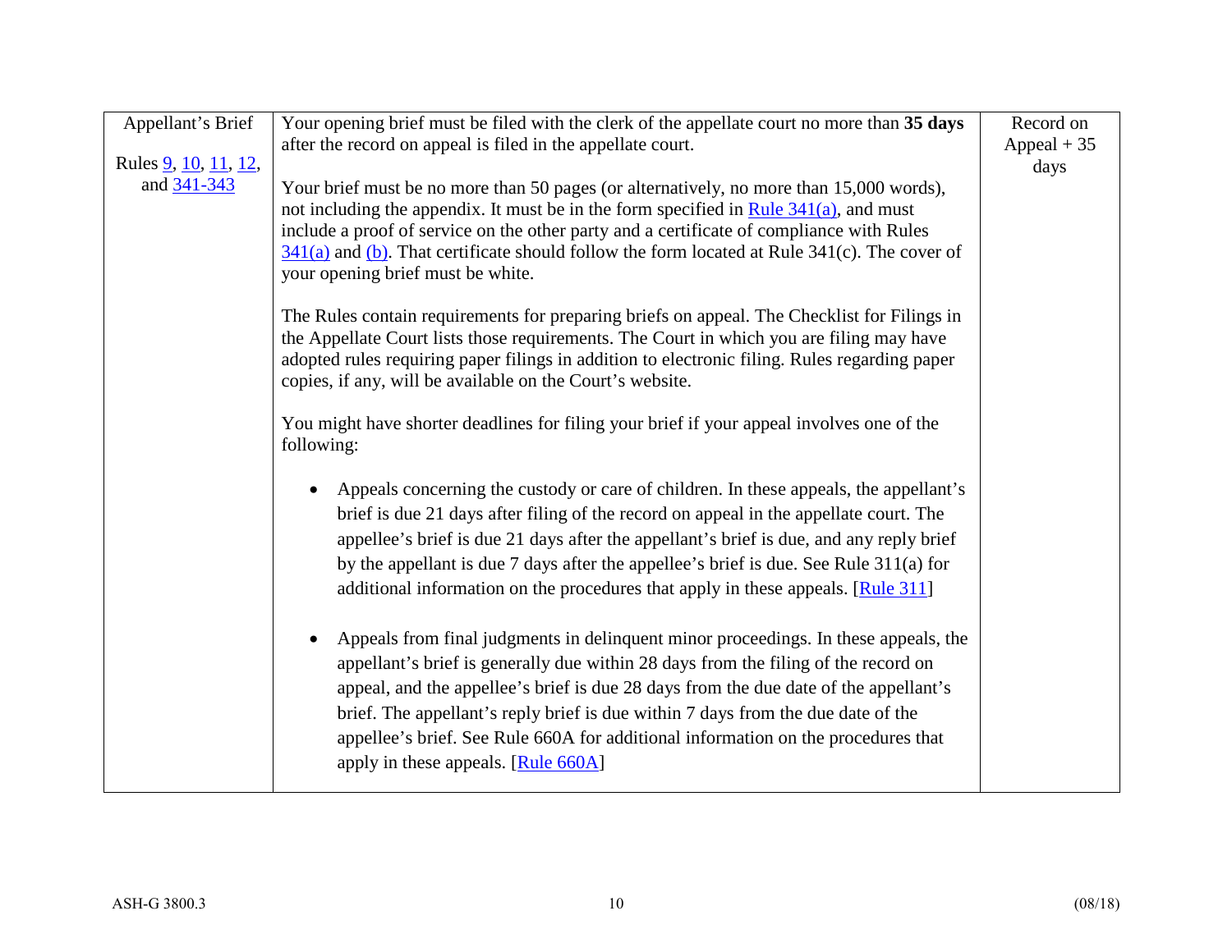| Appellant's Brief            | Your opening brief must be filed with the clerk of the appellate court no more than 35 days              | Record on    |
|------------------------------|----------------------------------------------------------------------------------------------------------|--------------|
|                              | after the record on appeal is filed in the appellate court.                                              | Appeal $+35$ |
| Rules <u>9, 10, 11, 12</u> , |                                                                                                          | days         |
| and $341 - 343$              | Your brief must be no more than 50 pages (or alternatively, no more than 15,000 words),                  |              |
|                              | not including the appendix. It must be in the form specified in Rule $341(a)$ , and must                 |              |
|                              | include a proof of service on the other party and a certificate of compliance with Rules                 |              |
|                              | $\frac{341(a)}{2}$ and (b). That certificate should follow the form located at Rule 341(c). The cover of |              |
|                              | your opening brief must be white.                                                                        |              |
|                              |                                                                                                          |              |
|                              | The Rules contain requirements for preparing briefs on appeal. The Checklist for Filings in              |              |
|                              | the Appellate Court lists those requirements. The Court in which you are filing may have                 |              |
|                              | adopted rules requiring paper filings in addition to electronic filing. Rules regarding paper            |              |
|                              | copies, if any, will be available on the Court's website.                                                |              |
|                              | You might have shorter deadlines for filing your brief if your appeal involves one of the                |              |
|                              | following:                                                                                               |              |
|                              |                                                                                                          |              |
|                              | Appeals concerning the custody or care of children. In these appeals, the appellant's<br>$\bullet$       |              |
|                              | brief is due 21 days after filing of the record on appeal in the appellate court. The                    |              |
|                              | appellee's brief is due 21 days after the appellant's brief is due, and any reply brief                  |              |
|                              | by the appellant is due 7 days after the appellee's brief is due. See Rule $311(a)$ for                  |              |
|                              | additional information on the procedures that apply in these appeals. [Rule 311]                         |              |
|                              |                                                                                                          |              |
|                              | Appeals from final judgments in delinquent minor proceedings. In these appeals, the<br>$\bullet$         |              |
|                              | appellant's brief is generally due within 28 days from the filing of the record on                       |              |
|                              |                                                                                                          |              |
|                              | appeal, and the appellee's brief is due 28 days from the due date of the appellant's                     |              |
|                              | brief. The appellant's reply brief is due within 7 days from the due date of the                         |              |
|                              | appellee's brief. See Rule 660A for additional information on the procedures that                        |              |
|                              | apply in these appeals. [Rule 660A]                                                                      |              |
|                              |                                                                                                          |              |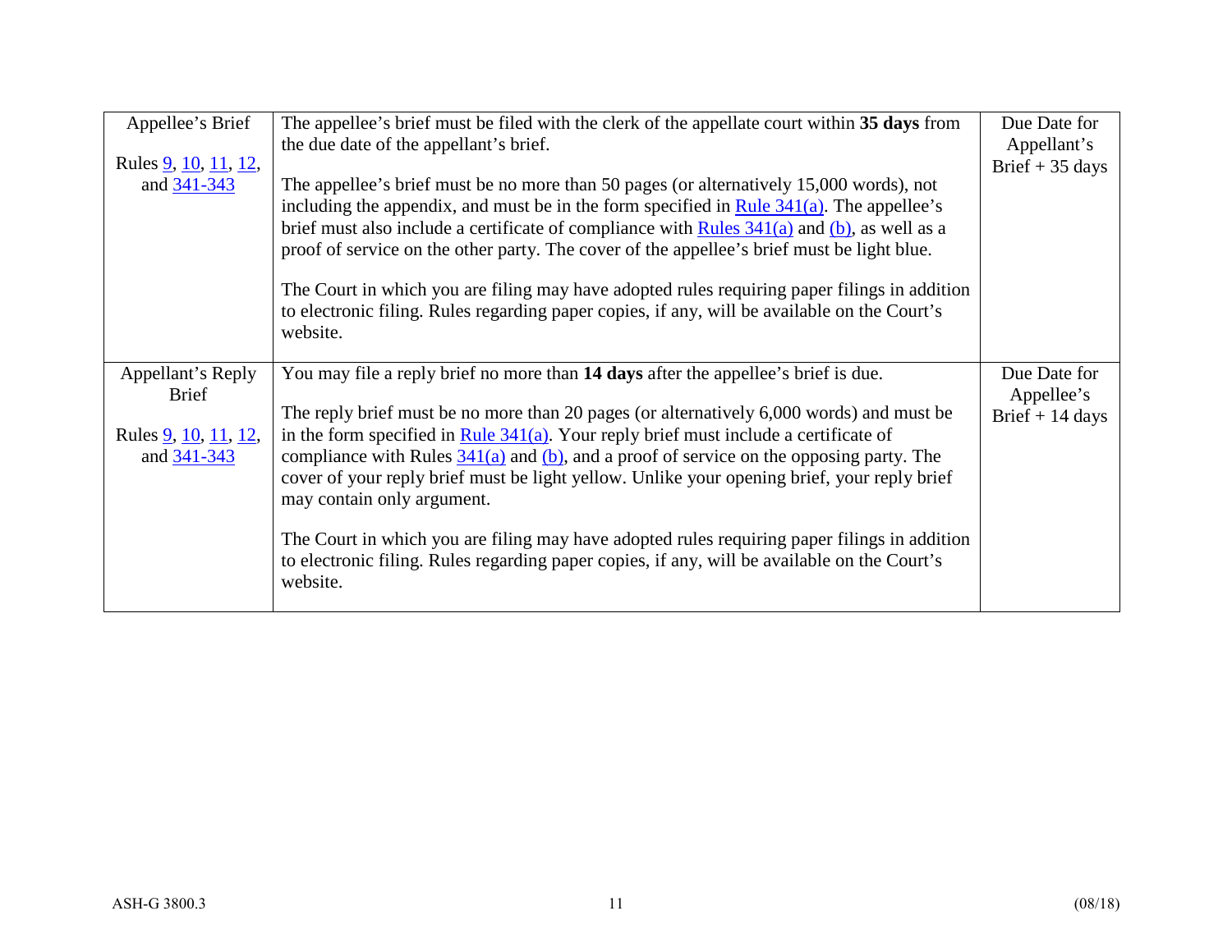| Appellee's Brief<br>Rules <u>9</u> , <u>10</u> , <u>11</u> , <u>12</u> ,<br>and 341-343 | The appellee's brief must be filed with the clerk of the appellate court within 35 days from<br>the due date of the appellant's brief.<br>The appellee's brief must be no more than 50 pages (or alternatively 15,000 words), not<br>including the appendix, and must be in the form specified in Rule $341(a)$ . The appellee's<br>brief must also include a certificate of compliance with Rules $341(a)$ and (b), as well as a                                                                                                                    | Due Date for<br>Appellant's<br>Brief $+35$ days |
|-----------------------------------------------------------------------------------------|------------------------------------------------------------------------------------------------------------------------------------------------------------------------------------------------------------------------------------------------------------------------------------------------------------------------------------------------------------------------------------------------------------------------------------------------------------------------------------------------------------------------------------------------------|-------------------------------------------------|
|                                                                                         | proof of service on the other party. The cover of the appellee's brief must be light blue.<br>The Court in which you are filing may have adopted rules requiring paper filings in addition<br>to electronic filing. Rules regarding paper copies, if any, will be available on the Court's<br>website.                                                                                                                                                                                                                                               |                                                 |
| Appellant's Reply<br><b>Brief</b>                                                       | You may file a reply brief no more than 14 days after the appellee's brief is due.<br>The reply brief must be no more than 20 pages (or alternatively 6,000 words) and must be                                                                                                                                                                                                                                                                                                                                                                       | Due Date for<br>Appellee's                      |
| Rules <u>9</u> , <u>10</u> , <u>11</u> , <u>12</u> ,<br>and 341-343                     | in the form specified in Rule $341(a)$ . Your reply brief must include a certificate of<br>compliance with Rules $\frac{341(a)}{a}$ and $\frac{(b)}{b}$ , and a proof of service on the opposing party. The<br>cover of your reply brief must be light yellow. Unlike your opening brief, your reply brief<br>may contain only argument.<br>The Court in which you are filing may have adopted rules requiring paper filings in addition<br>to electronic filing. Rules regarding paper copies, if any, will be available on the Court's<br>website. | Brief $+$ 14 days                               |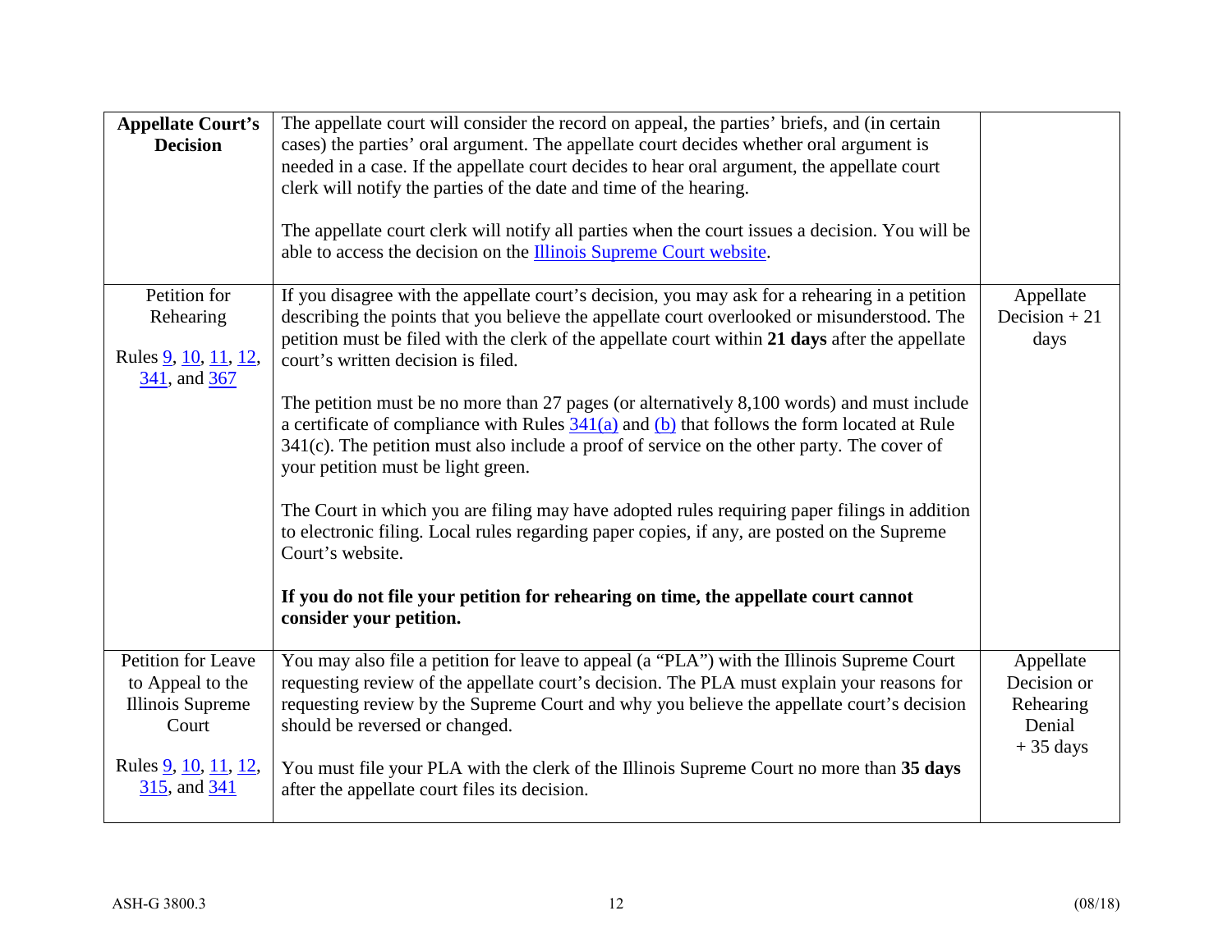| <b>Appellate Court's</b><br><b>Decision</b>                                                                        | The appellate court will consider the record on appeal, the parties' briefs, and (in certain<br>cases) the parties' oral argument. The appellate court decides whether oral argument is<br>needed in a case. If the appellate court decides to hear oral argument, the appellate court<br>clerk will notify the parties of the date and time of the hearing.<br>The appellate court clerk will notify all parties when the court issues a decision. You will be<br>able to access the decision on the Illinois Supreme Court website.                                                                                                                                                                                                                                                                                                                                                                                                                                                                            |                                                               |
|--------------------------------------------------------------------------------------------------------------------|------------------------------------------------------------------------------------------------------------------------------------------------------------------------------------------------------------------------------------------------------------------------------------------------------------------------------------------------------------------------------------------------------------------------------------------------------------------------------------------------------------------------------------------------------------------------------------------------------------------------------------------------------------------------------------------------------------------------------------------------------------------------------------------------------------------------------------------------------------------------------------------------------------------------------------------------------------------------------------------------------------------|---------------------------------------------------------------|
| Petition for<br>Rehearing<br>Rules <u>9</u> , <u>10</u> , <u>11</u> , <u>12</u> ,<br>341, and 367                  | If you disagree with the appellate court's decision, you may ask for a rehearing in a petition<br>describing the points that you believe the appellate court overlooked or misunderstood. The<br>petition must be filed with the clerk of the appellate court within 21 days after the appellate<br>court's written decision is filed.<br>The petition must be no more than 27 pages (or alternatively 8,100 words) and must include<br>a certificate of compliance with Rules $341(a)$ and (b) that follows the form located at Rule<br>$341(c)$ . The petition must also include a proof of service on the other party. The cover of<br>your petition must be light green.<br>The Court in which you are filing may have adopted rules requiring paper filings in addition<br>to electronic filing. Local rules regarding paper copies, if any, are posted on the Supreme<br>Court's website.<br>If you do not file your petition for rehearing on time, the appellate court cannot<br>consider your petition. | Appellate<br>Decision $+21$<br>days                           |
| Petition for Leave<br>to Appeal to the<br><b>Illinois Supreme</b><br>Court<br>Rules 9, 10, 11, 12,<br>315, and 341 | You may also file a petition for leave to appeal (a "PLA") with the Illinois Supreme Court<br>requesting review of the appellate court's decision. The PLA must explain your reasons for<br>requesting review by the Supreme Court and why you believe the appellate court's decision<br>should be reversed or changed.<br>You must file your PLA with the clerk of the Illinois Supreme Court no more than 35 days<br>after the appellate court files its decision.                                                                                                                                                                                                                                                                                                                                                                                                                                                                                                                                             | Appellate<br>Decision or<br>Rehearing<br>Denial<br>$+35$ days |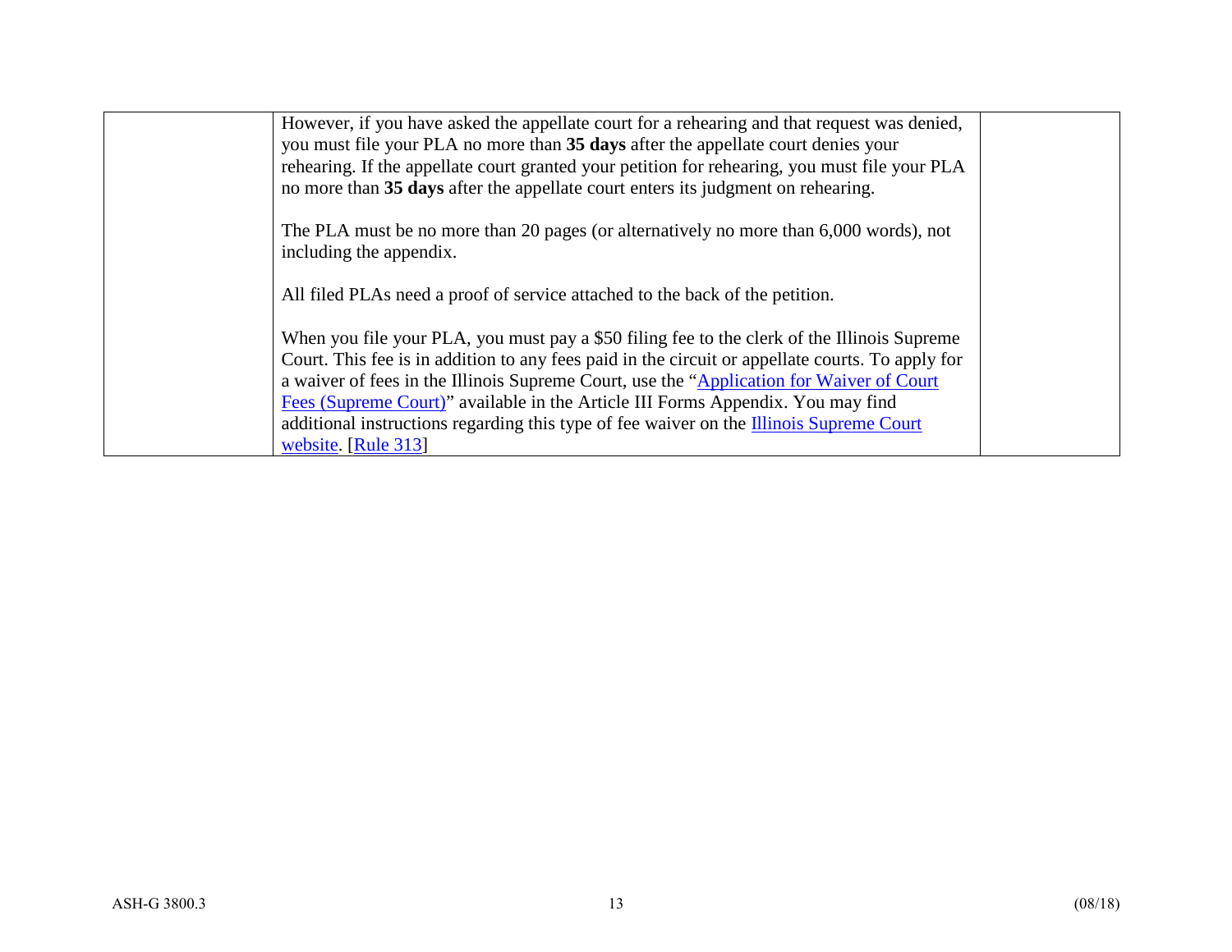| However, if you have asked the appellate court for a rehearing and that request was denied,<br>you must file your PLA no more than 35 days after the appellate court denies your<br>rehearing. If the appellate court granted your petition for rehearing, you must file your PLA<br>no more than 35 days after the appellate court enters its judgment on rehearing.                                                                                                                             |  |
|---------------------------------------------------------------------------------------------------------------------------------------------------------------------------------------------------------------------------------------------------------------------------------------------------------------------------------------------------------------------------------------------------------------------------------------------------------------------------------------------------|--|
| The PLA must be no more than 20 pages (or alternatively no more than 6,000 words), not<br>including the appendix.                                                                                                                                                                                                                                                                                                                                                                                 |  |
| All filed PLAs need a proof of service attached to the back of the petition.                                                                                                                                                                                                                                                                                                                                                                                                                      |  |
| When you file your PLA, you must pay a \$50 filing fee to the clerk of the Illinois Supreme<br>Court. This fee is in addition to any fees paid in the circuit or appellate courts. To apply for<br>a waiver of fees in the Illinois Supreme Court, use the "Application for Waiver of Court"<br>Fees (Supreme Court)" available in the Article III Forms Appendix. You may find<br>additional instructions regarding this type of fee waiver on the Illinois Supreme Court<br>website. [Rule 313] |  |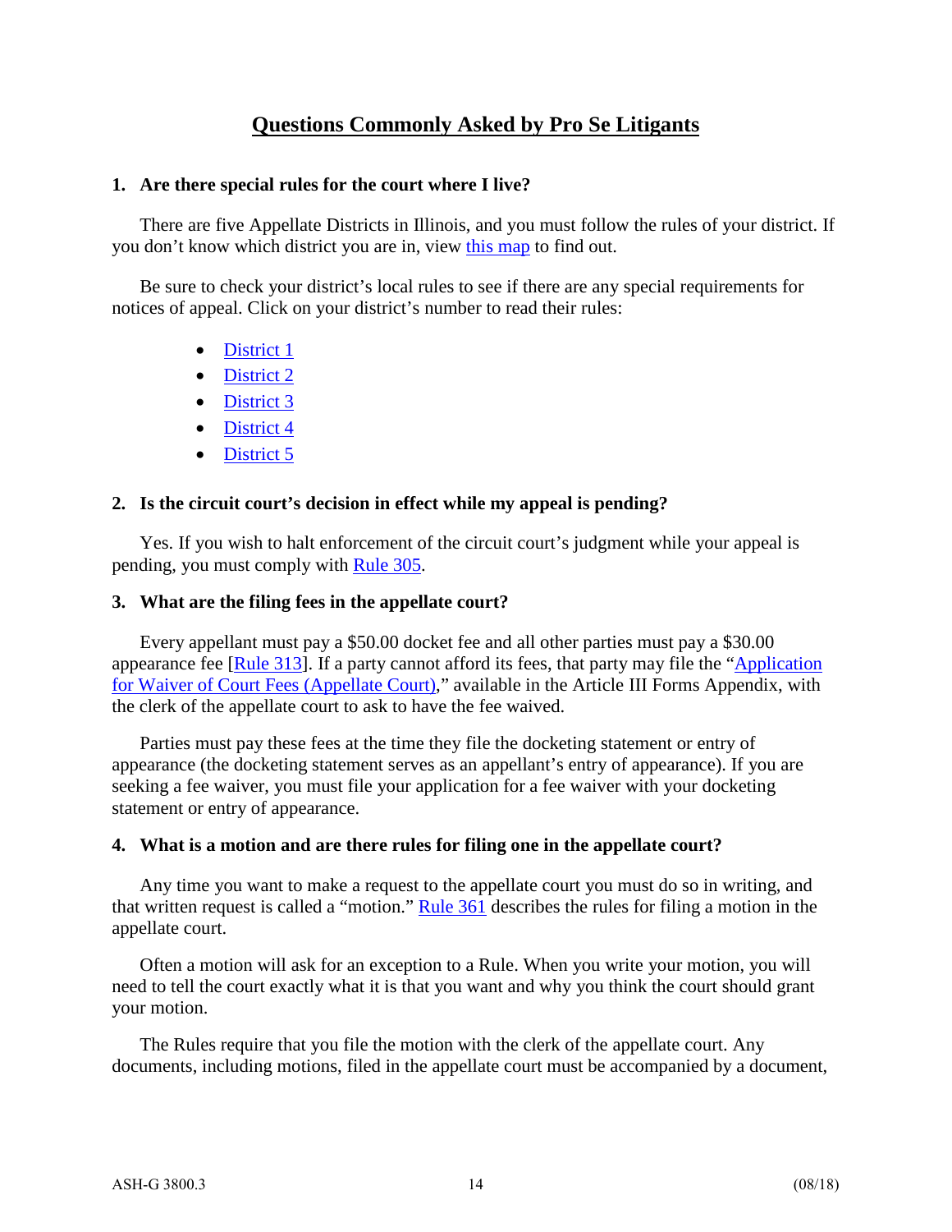#### **Questions Commonly Asked by Pro Se Litigants**

#### **1. Are there special rules for the court where I live?**

There are five Appellate Districts in Illinois, and you must follow the rules of your district. If you don't know which district you are in, view [this map](http://www.state.il.us/court/AppellateCourt/DistrictMap.asp) to find out.

Be sure to check your district's local rules to see if there are any special requirements for notices of appeal. Click on your district's number to read their rules:

- [District 1](http://www.state.il.us/court/AppellateCourt/LocalRules/1st.pdf)
- [District 2](http://www.state.il.us/court/AppellateCourt/LocalRules/2ndLocalRules_090914.pdf)
- [District 3](http://www.state.il.us/court/AppellateCourt/LocalRules/3rd.pdf)
- [District 4](http://www.state.il.us/court/AppellateCourt/LocalRules/4th.pdf)
- [District 5](http://www.state.il.us/court/AppellateCourt/LocalRules/5th.pdf)

#### **2. Is the circuit court's decision in effect while my appeal is pending?**

Yes. If you wish to halt enforcement of the circuit court's judgment while your appeal is pending, you must comply with [Rule 305.](http://www.state.il.us/court/SupremeCourt/Rules/Art_III/ArtIII.htm%23305)

#### **3. What are the filing fees in the appellate court?**

Every appellant must pay a \$50.00 docket fee and all other parties must pay a \$30.00 appearance fee [\[Rule 313\]](http://www.illinoiscourts.gov/SupremeCourt/Rules/Art_III/ArtIII.htm%23313). If a party cannot afford its fees, that party may file the ["Application](http://www.illinoiscourts.gov/Forms/approved/appellate/Appellate_Fee_Waiver_Application_Approved.pdf)  [for Waiver of Court Fees \(Appellate Court\),](http://www.illinoiscourts.gov/Forms/approved/appellate/Appellate_Fee_Waiver_Application_Approved.pdf)" available in the Article III Forms Appendix, with the clerk of the appellate court to ask to have the fee waived.

Parties must pay these fees at the time they file the docketing statement or entry of appearance (the docketing statement serves as an appellant's entry of appearance). If you are seeking a fee waiver, you must file your application for a fee waiver with your docketing statement or entry of appearance.

#### **4. What is a motion and are there rules for filing one in the appellate court?**

Any time you want to make a request to the appellate court you must do so in writing, and that written request is called a "motion." [Rule 361](http://www.state.il.us/court/SupremeCourt/Rules/Art_III/ArtIII.htm%23361) describes the rules for filing a motion in the appellate court.

Often a motion will ask for an exception to a Rule. When you write your motion, you will need to tell the court exactly what it is that you want and why you think the court should grant your motion.

The Rules require that you file the motion with the clerk of the appellate court. Any documents, including motions, filed in the appellate court must be accompanied by a document,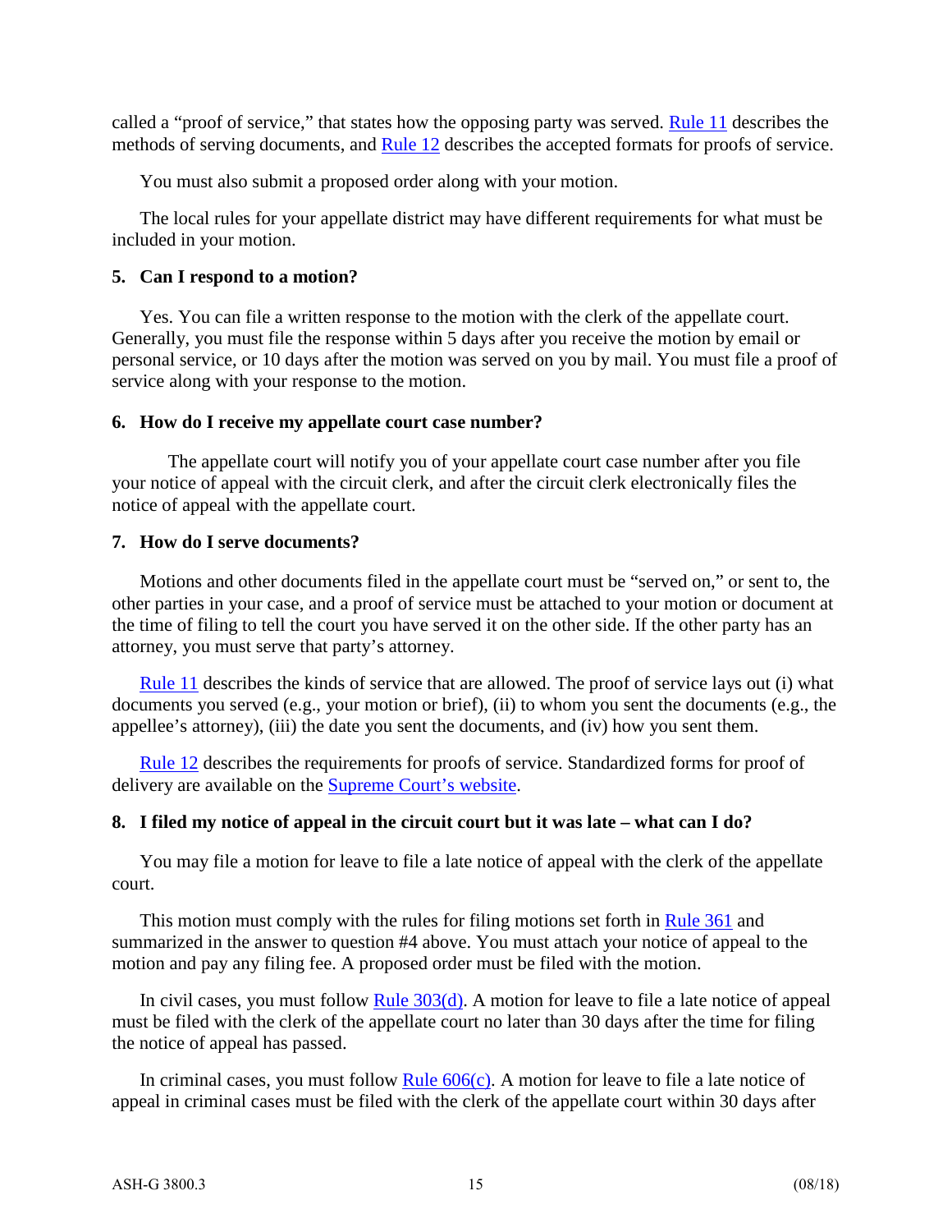called a "proof of service," that states how the opposing party was served. [Rule 11](http://www.illinoiscourts.gov/SupremeCourt/Rules/Art_I/ArtI.htm%2311) describes the methods of serving documents, and [Rule 12](http://www.illinoiscourts.gov/SupremeCourt/Rules/Art_I/ArtI.htm%2312) describes the accepted formats for proofs of service.

You must also submit a proposed order along with your motion.

The local rules for your appellate district may have different requirements for what must be included in your motion.

#### **5. Can I respond to a motion?**

Yes. You can file a written response to the motion with the clerk of the appellate court. Generally, you must file the response within 5 days after you receive the motion by email or personal service, or 10 days after the motion was served on you by mail. You must file a proof of service along with your response to the motion.

#### **6. How do I receive my appellate court case number?**

The appellate court will notify you of your appellate court case number after you file your notice of appeal with the circuit clerk, and after the circuit clerk electronically files the notice of appeal with the appellate court.

#### **7. How do I serve documents?**

Motions and other documents filed in the appellate court must be "served on," or sent to, the other parties in your case, and a proof of service must be attached to your motion or document at the time of filing to tell the court you have served it on the other side. If the other party has an attorney, you must serve that party's attorney.

[Rule 11](http://www.state.il.us/court/SupremeCourt/Rules/Art_I/ArtI.htm%2311) describes the kinds of service that are allowed. The proof of service lays out (i) what documents you served (e.g., your motion or brief), (ii) to whom you sent the documents (e.g., the appellee's attorney), (iii) the date you sent the documents, and (iv) how you sent them.

[Rule 12](http://www.state.il.us/court/SupremeCourt/Rules/Art_I/ArtI.htm%2312) describes the requirements for proofs of service. Standardized forms for proof of delivery are available on the [Supreme Court's website.](http://www.illinoiscourts.gov/Forms/approved/procedures/Proof_of_Delivery.asp)

#### **8. I filed my notice of appeal in the circuit court but it was late – what can I do?**

You may file a motion for leave to file a late notice of appeal with the clerk of the appellate court.

This motion must comply with the rules for filing motions set forth in [Rule 361](http://www.state.il.us/court/SupremeCourt/Rules/Art_III/ArtIII.htm%23361) and summarized in the answer to question #4 above. You must attach your notice of appeal to the motion and pay any filing fee. A proposed order must be filed with the motion.

In civil cases, you must follow Rule  $303(d)$ . A motion for leave to file a late notice of appeal must be filed with the clerk of the appellate court no later than 30 days after the time for filing the notice of appeal has passed.

In criminal cases, you must follow Rule  $606(c)$ . A motion for leave to file a late notice of appeal in criminal cases must be filed with the clerk of the appellate court within 30 days after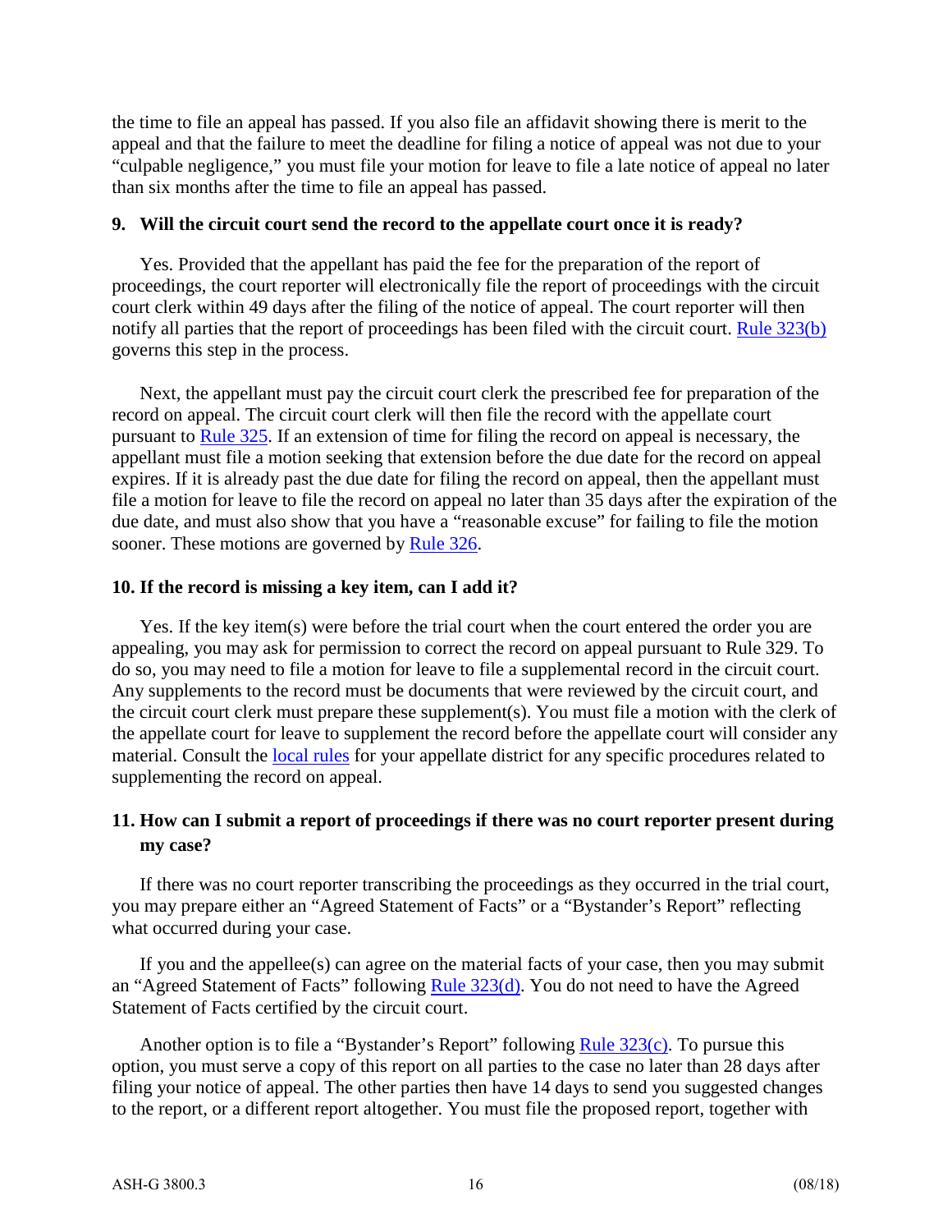the time to file an appeal has passed. If you also file an affidavit showing there is merit to the appeal and that the failure to meet the deadline for filing a notice of appeal was not due to your "culpable negligence," you must file your motion for leave to file a late notice of appeal no later than six months after the time to file an appeal has passed.

#### **9. Will the circuit court send the record to the appellate court once it is ready?**

Yes. Provided that the appellant has paid the fee for the preparation of the report of proceedings, the court reporter will electronically file the report of proceedings with the circuit court clerk within 49 days after the filing of the notice of appeal. The court reporter will then notify all parties that the report of proceedings has been filed with the circuit court. [Rule 323\(b\)](http://www.illinoiscourts.gov/SupremeCourt/Rules/Art_III/ArtIII.htm%23323) governs this step in the process.

Next, the appellant must pay the circuit court clerk the prescribed fee for preparation of the record on appeal. The circuit court clerk will then file the record with the appellate court pursuant to [Rule 325.](http://www.illinoiscourts.gov/SupremeCourt/Rules/Art_III/ArtIII.htm%23325) If an extension of time for filing the record on appeal is necessary, the appellant must file a motion seeking that extension before the due date for the record on appeal expires. If it is already past the due date for filing the record on appeal, then the appellant must file a motion for leave to file the record on appeal no later than 35 days after the expiration of the due date, and must also show that you have a "reasonable excuse" for failing to file the motion sooner. These motions are governed by [Rule 326.](http://www.illinoiscourts.gov/SupremeCourt/Rules/Art_III/ArtIII.htm%23303)

#### **10. If the record is missing a key item, can I add it?**

Yes. If the key item(s) were before the trial court when the court entered the order you are appealing, you may ask for permission to correct the record on appeal pursuant to Rule 329. To do so, you may need to file a motion for leave to file a supplemental record in the circuit court. Any supplements to the record must be documents that were reviewed by the circuit court, and the circuit court clerk must prepare these supplement(s). You must file a motion with the clerk of the appellate court for leave to supplement the record before the appellate court will consider any material. Consult the [local rules](http://www.illinoiscourts.gov/AppellateCourt/) for your appellate district for any specific procedures related to supplementing the record on appeal.

#### **11. How can I submit a report of proceedings if there was no court reporter present during my case?**

If there was no court reporter transcribing the proceedings as they occurred in the trial court, you may prepare either an "Agreed Statement of Facts" or a "Bystander's Report" reflecting what occurred during your case.

If you and the appellee(s) can agree on the material facts of your case, then you may submit an "Agreed Statement of Facts" following [Rule 323\(d\).](http://www.state.il.us/court/SupremeCourt/Rules/Art_III/ArtIII.htm%23323) You do not need to have the Agreed Statement of Facts certified by the circuit court.

Another option is to file a "Bystander's Report" following Rule  $323(c)$ . To pursue this option, you must serve a copy of this report on all parties to the case no later than 28 days after filing your notice of appeal. The other parties then have 14 days to send you suggested changes to the report, or a different report altogether. You must file the proposed report, together with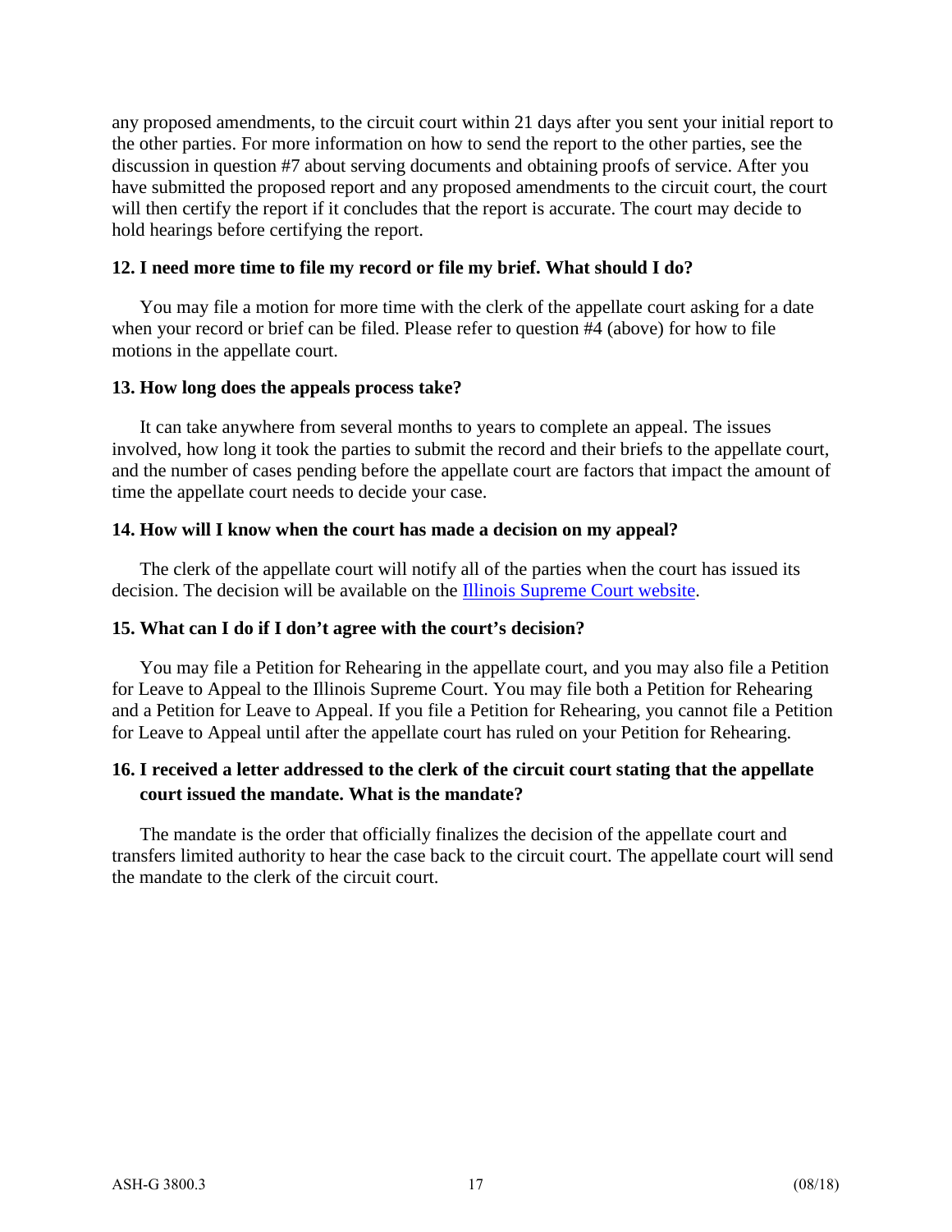any proposed amendments, to the circuit court within 21 days after you sent your initial report to the other parties. For more information on how to send the report to the other parties, see the discussion in question #7 about serving documents and obtaining proofs of service. After you have submitted the proposed report and any proposed amendments to the circuit court, the court will then certify the report if it concludes that the report is accurate. The court may decide to hold hearings before certifying the report.

#### **12. I need more time to file my record or file my brief. What should I do?**

You may file a motion for more time with the clerk of the appellate court asking for a date when your record or brief can be filed. Please refer to question #4 (above) for how to file motions in the appellate court.

#### **13. How long does the appeals process take?**

It can take anywhere from several months to years to complete an appeal. The issues involved, how long it took the parties to submit the record and their briefs to the appellate court, and the number of cases pending before the appellate court are factors that impact the amount of time the appellate court needs to decide your case.

#### **14. How will I know when the court has made a decision on my appeal?**

The clerk of the appellate court will notify all of the parties when the court has issued its decision. The decision will be available on the [Illinois Supreme Court website.](http://illinoiscourts.gov/)

#### **15. What can I do if I don't agree with the court's decision?**

You may file a Petition for Rehearing in the appellate court, and you may also file a Petition for Leave to Appeal to the Illinois Supreme Court. You may file both a Petition for Rehearing and a Petition for Leave to Appeal. If you file a Petition for Rehearing, you cannot file a Petition for Leave to Appeal until after the appellate court has ruled on your Petition for Rehearing.

#### **16. I received a letter addressed to the clerk of the circuit court stating that the appellate court issued the mandate. What is the mandate?**

The mandate is the order that officially finalizes the decision of the appellate court and transfers limited authority to hear the case back to the circuit court. The appellate court will send the mandate to the clerk of the circuit court.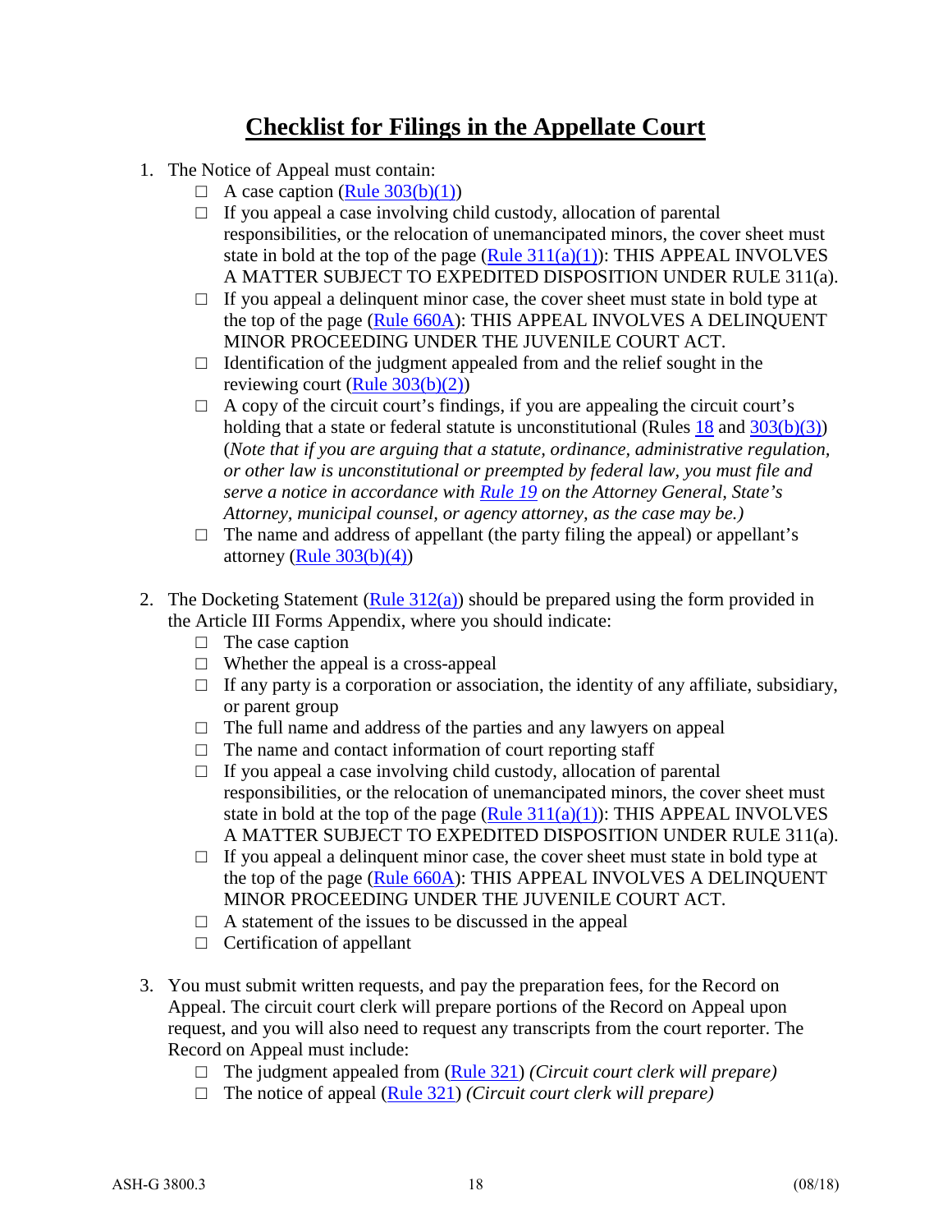## **Checklist for Filings in the Appellate Court**

- 1. The Notice of Appeal must contain:
	- $\Box$  A case caption [\(Rule 303\(b\)\(1\)\)](http://www.state.il.us/court/SupremeCourt/Rules/Art_III/ArtIII.htm%23303)
	- $\Box$  If you appeal a case involving child custody, allocation of parental responsibilities, or the relocation of unemancipated minors, the cover sheet must state in bold at the top of the page (Rule  $311(a)(1)$ ): THIS APPEAL INVOLVES A MATTER SUBJECT TO EXPEDITED DISPOSITION UNDER RULE 311(a).
	- $\Box$  If you appeal a delinquent minor case, the cover sheet must state in bold type at the top of the page [\(Rule 660A\)](http://www.illinoiscourts.gov/supremecourt/Rules/Art_VI/ArtVI.htm%23660A): THIS APPEAL INVOLVES A DELINQUENT MINOR PROCEEDING UNDER THE JUVENILE COURT ACT.
	- $\Box$  Identification of the judgment appealed from and the relief sought in the reviewing court [\(Rule 303\(b\)\(2\)\)](http://www.state.il.us/court/SupremeCourt/Rules/Art_III/ArtIII.htm%23303)
	- $\Box$  A copy of the circuit court's findings, if you are appealing the circuit court's holding that a state or federal statute is unconstitutional (Rules  $18$  and  $303(b)(3)$ ) (*Note that if you are arguing that a statute, ordinance, administrative regulation, or other law is unconstitutional or preempted by federal law, you must file and serve a notice in accordance with [Rule 19](http://www.state.il.us/court/SupremeCourt/Rules/Art_I/ArtI.htm%2319) on the Attorney General, State's Attorney, municipal counsel, or agency attorney, as the case may be.)*
	- $\Box$  The name and address of appellant (the party filing the appeal) or appellant's attorney (Rule  $303(b)(4)$ )
- 2. The Docketing Statement (Rule  $312(a)$ ) should be prepared using the form provided in the Article III Forms Appendix, where you should indicate:
	- $\Box$  The case caption
	- $\Box$  Whether the appeal is a cross-appeal
	- $\Box$  If any party is a corporation or association, the identity of any affiliate, subsidiary, or parent group
	- $\Box$  The full name and address of the parties and any lawyers on appeal
	- $\Box$  The name and contact information of court reporting staff
	- $\Box$  If you appeal a case involving child custody, allocation of parental responsibilities, or the relocation of unemancipated minors, the cover sheet must state in bold at the top of the page (Rule  $311(a)(1)$ ): THIS APPEAL INVOLVES A MATTER SUBJECT TO EXPEDITED DISPOSITION UNDER RULE 311(a).
	- $\Box$  If you appeal a delinquent minor case, the cover sheet must state in bold type at the top of the page [\(Rule 660A\)](http://www.illinoiscourts.gov/supremecourt/Rules/Art_VI/ArtVI.htm%23660A): THIS APPEAL INVOLVES A DELINQUENT MINOR PROCEEDING UNDER THE JUVENILE COURT ACT.
	- $\Box$  A statement of the issues to be discussed in the appeal
	- $\Box$  Certification of appellant
- 3. You must submit written requests, and pay the preparation fees, for the Record on Appeal. The circuit court clerk will prepare portions of the Record on Appeal upon request, and you will also need to request any transcripts from the court reporter. The Record on Appeal must include:
	- □ The judgment appealed from [\(Rule 321\)](http://www.state.il.us/court/SupremeCourt/Rules/Art_III/ArtIII.htm%23321) *(Circuit court clerk will prepare)*
	- □ The notice of appeal [\(Rule 321\)](http://www.state.il.us/court/SupremeCourt/Rules/Art_III/ArtIII.htm%23321) *(Circuit court clerk will prepare)*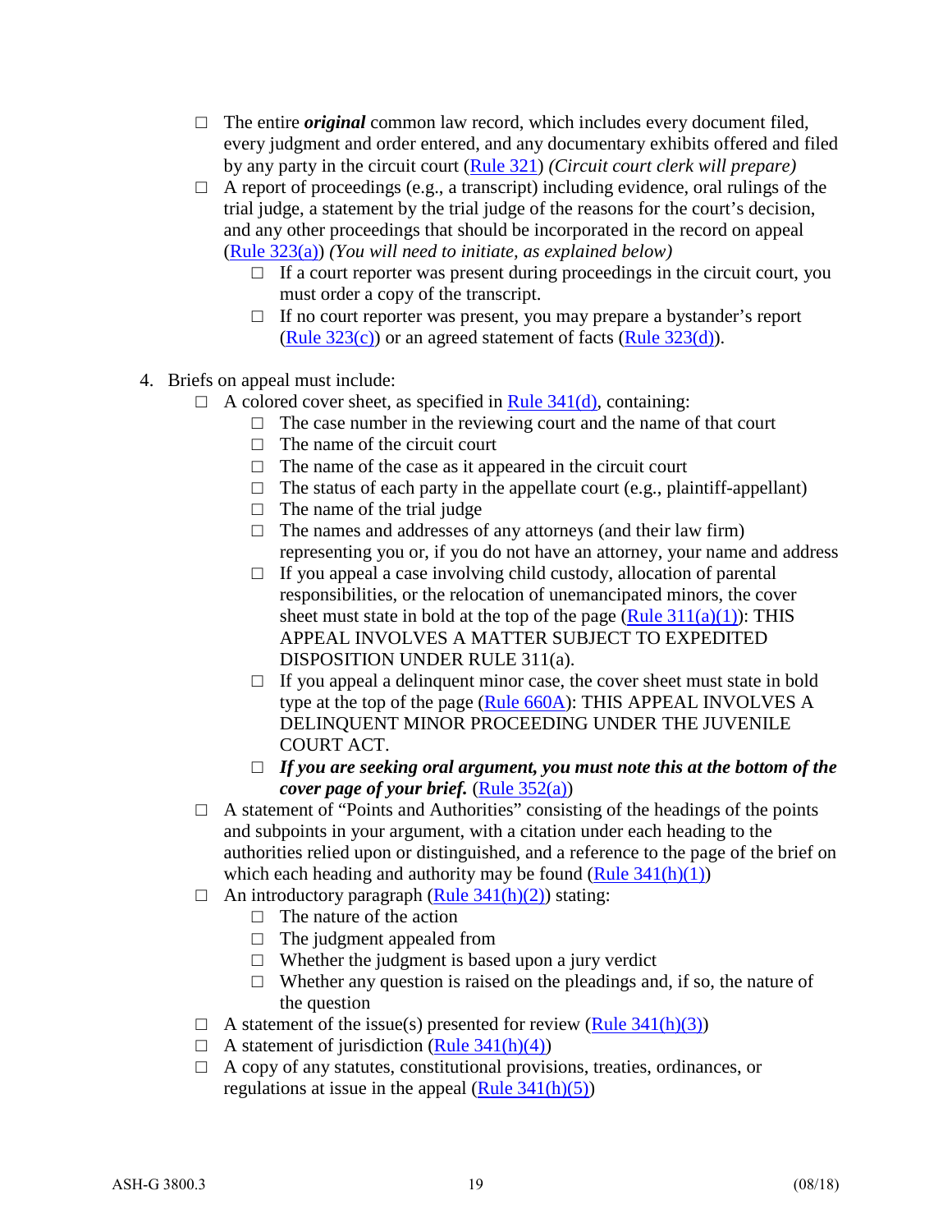- $\Box$  The entire *original* common law record, which includes every document filed, every judgment and order entered, and any documentary exhibits offered and filed by any party in the circuit court [\(Rule 321\)](http://www.state.il.us/court/SupremeCourt/Rules/Art_III/ArtIII.htm%23321) *(Circuit court clerk will prepare)*
- $\Box$  A report of proceedings (e.g., a transcript) including evidence, oral rulings of the trial judge, a statement by the trial judge of the reasons for the court's decision, and any other proceedings that should be incorporated in the record on appeal [\(Rule 323\(a\)\)](http://www.state.il.us/court/SupremeCourt/Rules/Art_III/ArtIII.htm%23323) *(You will need to initiate, as explained below)*
	- $\Box$  If a court reporter was present during proceedings in the circuit court, you must order a copy of the transcript.
	- □ If no court reporter was present, you may prepare a bystander's report (Rule  $323(c)$ ) or an agreed statement of facts (Rule  $323(d)$ ).
- 4. Briefs on appeal must include:
	- $\Box$  A colored cover sheet, as specified in <u>Rule 341(d)</u>, containing:
		- $\Box$  The case number in the reviewing court and the name of that court
		- $\Box$  The name of the circuit court
		- $\Box$  The name of the case as it appeared in the circuit court
		- $\Box$  The status of each party in the appellate court (e.g., plaintiff-appellant)
		- $\Box$  The name of the trial judge
		- $\Box$  The names and addresses of any attorneys (and their law firm) representing you or, if you do not have an attorney, your name and address
		- $\Box$  If you appeal a case involving child custody, allocation of parental responsibilities, or the relocation of unemancipated minors, the cover sheet must state in bold at the top of the page  $(Rule 311(a)(1))$ : THIS APPEAL INVOLVES A MATTER SUBJECT TO EXPEDITED DISPOSITION UNDER RULE 311(a).
		- $\Box$  If you appeal a delinquent minor case, the cover sheet must state in bold type at the top of the page [\(Rule 660A\)](http://www.illinoiscourts.gov/supremecourt/Rules/Art_VI/ArtVI.htm%23660A): THIS APPEAL INVOLVES A DELINQUENT MINOR PROCEEDING UNDER THE JUVENILE COURT ACT.
		- □ If you are seeking oral argument, you must note this at the bottom of the *cover page of your brief.* [\(Rule 352\(a\)\)](http://www.state.il.us/court/SupremeCourt/Rules/Art_III/ArtIII.htm%23352)
	- $\Box$  A statement of "Points and Authorities" consisting of the headings of the points and subpoints in your argument, with a citation under each heading to the authorities relied upon or distinguished, and a reference to the page of the brief on which each heading and authority may be found  $(Rule 341(h)(1))$
	- $\Box$  An introductory paragraph [\(Rule 341\(h\)\(2\)\)](http://www.state.il.us/court/SupremeCourt/Rules/Art_III/ArtIII.htm%23341) stating:
		- $\Box$  The nature of the action
		- $\Box$  The judgment appealed from
		- $\Box$  Whether the judgment is based upon a jury verdict
		- $\Box$  Whether any question is raised on the pleadings and, if so, the nature of the question
	- $\Box$  A statement of the issue(s) presented for review [\(Rule 341\(h\)\(3\)\)](http://www.state.il.us/court/SupremeCourt/Rules/Art_III/ArtIII.htm%23341)
	- $\Box$  A statement of jurisdiction [\(Rule 341\(h\)\(4\)\)](http://www.state.il.us/court/SupremeCourt/Rules/Art_III/ArtIII.htm%23341)
	- □ A copy of any statutes, constitutional provisions, treaties, ordinances, or regulations at issue in the appeal  $(Rule 341(h)(5))$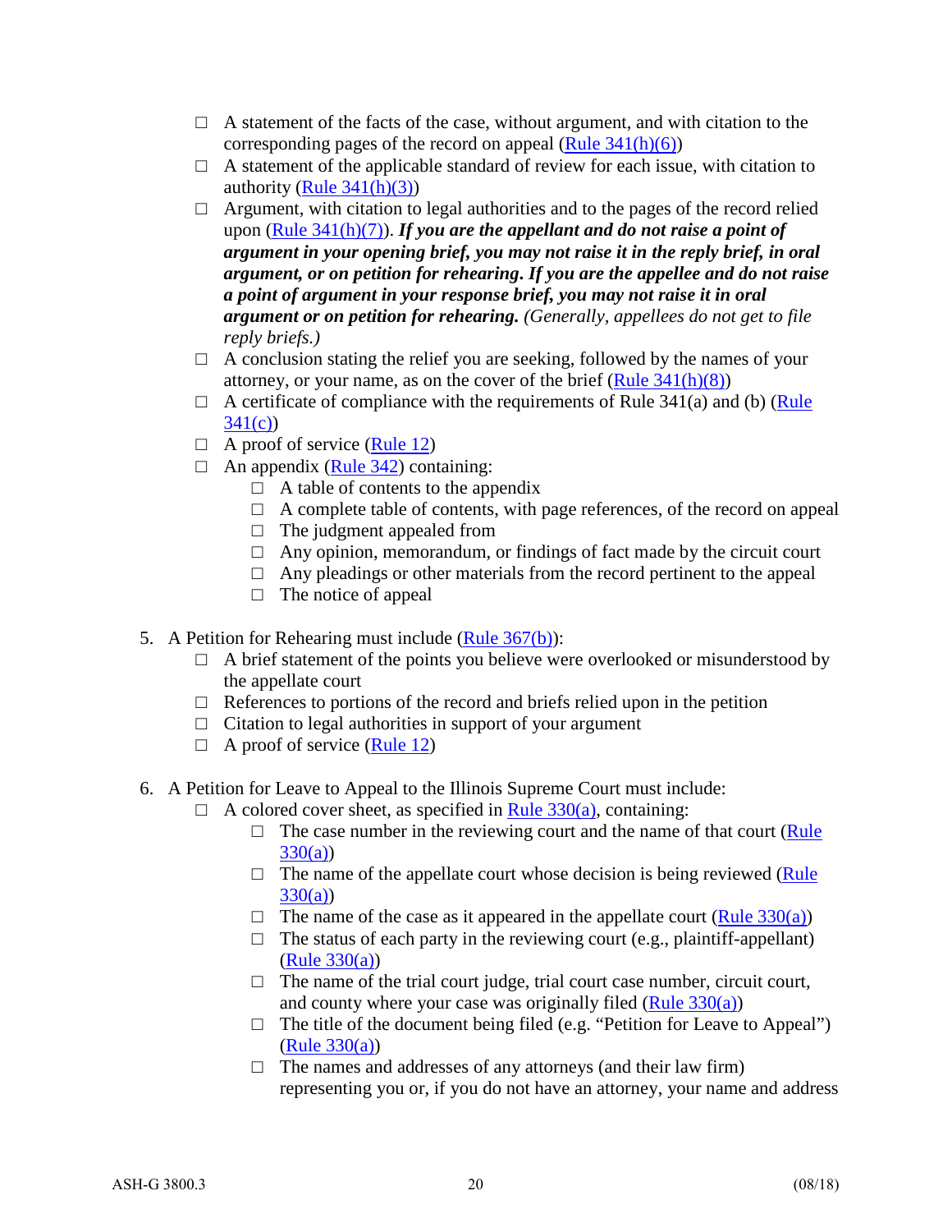- $\Box$  A statement of the facts of the case, without argument, and with citation to the corresponding pages of the record on appeal  $(Rule 341(h)(6))$
- $\Box$  A statement of the applicable standard of review for each issue, with citation to authority (Rule  $341(h)(3)$ )
- $\Box$  Argument, with citation to legal authorities and to the pages of the record relied upon [\(Rule 341\(h\)\(7\)\)](http://www.state.il.us/court/SupremeCourt/Rules/Art_III/ArtIII.htm%23341). *If you are the appellant and do not raise a point of argument in your opening brief, you may not raise it in the reply brief, in oral argument, or on petition for rehearing***.** *If you are the appellee and do not raise a point of argument in your response brief, you may not raise it in oral argument or on petition for rehearing. (Generally, appellees do not get to file reply briefs.)*
- $\Box$  A conclusion stating the relief you are seeking, followed by the names of your attorney, or your name, as on the cover of the brief  $(Rule 341(h)(8))$
- $\Box$  A certificate of compliance with the requirements of Rule 341(a) and (b) (Rule [341\(c\)\)](http://www.state.il.us/court/SupremeCourt/Rules/Art_III/ArtIII.htm%23341)
- $\Box$  A proof of service [\(Rule 12\)](http://www.illinoiscourts.gov/supremecourt/Rules/Art_I/ArtI.htm%2312)
- $\Box$  An appendix [\(Rule 342\)](http://www.state.il.us/court/SupremeCourt/Rules/Art_III/ArtIII.htm%23342) containing:
	- $\Box$  A table of contents to the appendix
	- $\Box$  A complete table of contents, with page references, of the record on appeal
	- $\Box$  The judgment appealed from
	- $\Box$  Any opinion, memorandum, or findings of fact made by the circuit court
	- $\Box$  Any pleadings or other materials from the record pertinent to the appeal
	- $\Box$  The notice of appeal
- 5. A Petition for Rehearing must include [\(Rule 367\(b\)\)](http://www.state.il.us/court/SupremeCourt/Rules/Art_III/ArtIII.htm%23367):
	- $\Box$  A brief statement of the points you believe were overlooked or misunderstood by the appellate court
	- $\Box$  References to portions of the record and briefs relied upon in the petition
	- $\Box$  Citation to legal authorities in support of your argument
	- $\Box$  A proof of service [\(Rule 12\)](http://www.illinoiscourts.gov/supremecourt/Rules/Art_I/ArtI.htm%2312)
- 6. A Petition for Leave to Appeal to the Illinois Supreme Court must include:
	- $\Box$  A colored cover sheet, as specified in [Rule 330\(a\),](http://www.illinoiscourts.gov/supremecourt/Rules/Art_III/ArtIII.htm%23330) containing:
		- $\Box$  The case number in the reviewing court and the name of that court (Rule [330\(a\)\)](http://www.illinoiscourts.gov/supremecourt/Rules/Art_III/ArtIII.htm%23330)
		- $\Box$  The name of the appellate court whose decision is being reviewed (Rule) [330\(a\)\)](http://www.illinoiscourts.gov/supremecourt/Rules/Art_III/ArtIII.htm%23330)
		- $\Box$  The name of the case as it appeared in the appellate court [\(Rule 330\(a\)\)](http://www.illinoiscourts.gov/supremecourt/Rules/Art_III/ArtIII.htm%23330)
		- $\Box$  The status of each party in the reviewing court (e.g., plaintiff-appellant) [\(Rule 330\(a\)\)](http://www.illinoiscourts.gov/supremecourt/Rules/Art_III/ArtIII.htm%23330)
		- $\Box$  The name of the trial court judge, trial court case number, circuit court, and county where your case was originally filed [\(Rule 330\(a\)\)](http://www.illinoiscourts.gov/supremecourt/Rules/Art_III/ArtIII.htm%23330)
		- $\Box$  The title of the document being filed (e.g. "Petition for Leave to Appeal") [\(Rule 330\(a\)\)](http://www.illinoiscourts.gov/supremecourt/Rules/Art_III/ArtIII.htm%23330)
		- $\Box$  The names and addresses of any attorneys (and their law firm) representing you or, if you do not have an attorney, your name and address